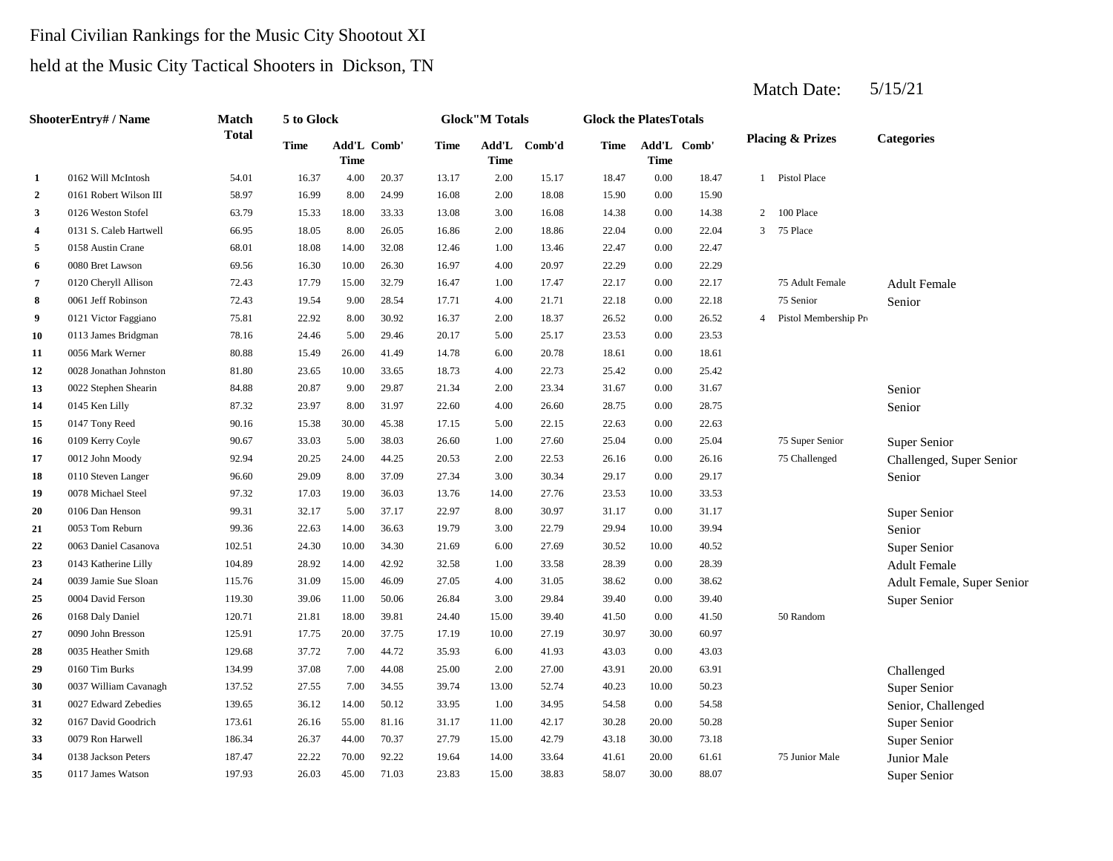# Final Civilian Rankings for the Music City Shootout XI held at the Music City Tactical Shooters in Dickson, TN

|                  | ShooterEntry# / Name   | <b>Match</b> | 5 to Glock  |       |             |             | <b>Glock</b> "M Totals |              | <b>Glock the PlatesTotals</b> |                            |       |                |                             |                            |
|------------------|------------------------|--------------|-------------|-------|-------------|-------------|------------------------|--------------|-------------------------------|----------------------------|-------|----------------|-----------------------------|----------------------------|
|                  |                        | <b>Total</b> | <b>Time</b> | Time  | Add'L Comb' | <b>Time</b> | <b>Time</b>            | Add'L Comb'd | Time                          | Add'L Comb'<br><b>Time</b> |       |                | <b>Placing &amp; Prizes</b> | <b>Categories</b>          |
| 1                | 0162 Will McIntosh     | 54.01        | 16.37       | 4.00  | 20.37       | 13.17       | 2.00                   | 15.17        | 18.47                         | $0.00\,$                   | 18.47 |                | 1 Pistol Place              |                            |
| $\boldsymbol{2}$ | 0161 Robert Wilson III | 58.97        | 16.99       | 8.00  | 24.99       | 16.08       | 2.00                   | 18.08        | 15.90                         | 0.00                       | 15.90 |                |                             |                            |
| 3                | 0126 Weston Stofel     | 63.79        | 15.33       | 18.00 | 33.33       | 13.08       | 3.00                   | 16.08        | 14.38                         | 0.00                       | 14.38 | 2              | 100 Place                   |                            |
| $\overline{4}$   | 0131 S. Caleb Hartwell | 66.95        | 18.05       | 8.00  | 26.05       | 16.86       | 2.00                   | 18.86        | 22.04                         | 0.00                       | 22.04 | $\mathbf{3}$   | 75 Place                    |                            |
| 5                | 0158 Austin Crane      | 68.01        | 18.08       | 14.00 | 32.08       | 12.46       | 1.00                   | 13.46        | 22.47                         | 0.00                       | 22.47 |                |                             |                            |
| 6                | 0080 Bret Lawson       | 69.56        | 16.30       | 10.00 | 26.30       | 16.97       | 4.00                   | 20.97        | 22.29                         | 0.00                       | 22.29 |                |                             |                            |
| 7                | 0120 Cheryll Allison   | 72.43        | 17.79       | 15.00 | 32.79       | 16.47       | 1.00                   | 17.47        | 22.17                         | 0.00                       | 22.17 |                | 75 Adult Female             | <b>Adult Female</b>        |
| 8                | 0061 Jeff Robinson     | 72.43        | 19.54       | 9.00  | 28.54       | 17.71       | 4.00                   | 21.71        | 22.18                         | $0.00\,$                   | 22.18 |                | 75 Senior                   | Senior                     |
| -9               | 0121 Victor Faggiano   | 75.81        | 22.92       | 8.00  | 30.92       | 16.37       | 2.00                   | 18.37        | 26.52                         | 0.00                       | 26.52 | $\overline{4}$ | Pistol Membership Pro       |                            |
| 10               | 0113 James Bridgman    | 78.16        | 24.46       | 5.00  | 29.46       | 20.17       | 5.00                   | 25.17        | 23.53                         | 0.00                       | 23.53 |                |                             |                            |
| 11               | 0056 Mark Werner       | 80.88        | 15.49       | 26.00 | 41.49       | 14.78       | 6.00                   | 20.78        | 18.61                         | 0.00                       | 18.61 |                |                             |                            |
| 12               | 0028 Jonathan Johnston | 81.80        | 23.65       | 10.00 | 33.65       | 18.73       | 4.00                   | 22.73        | 25.42                         | 0.00                       | 25.42 |                |                             |                            |
| 13               | 0022 Stephen Shearin   | 84.88        | 20.87       | 9.00  | 29.87       | 21.34       | 2.00                   | 23.34        | 31.67                         | 0.00                       | 31.67 |                |                             | Senior                     |
| 14               | 0145 Ken Lilly         | 87.32        | 23.97       | 8.00  | 31.97       | 22.60       | 4.00                   | 26.60        | 28.75                         | 0.00                       | 28.75 |                |                             | Senior                     |
| 15               | 0147 Tony Reed         | 90.16        | 15.38       | 30.00 | 45.38       | 17.15       | 5.00                   | 22.15        | 22.63                         | 0.00                       | 22.63 |                |                             |                            |
| 16               | 0109 Kerry Coyle       | 90.67        | 33.03       | 5.00  | 38.03       | 26.60       | 1.00                   | 27.60        | 25.04                         | 0.00                       | 25.04 |                | 75 Super Senior             | Super Senior               |
| 17               | 0012 John Moody        | 92.94        | 20.25       | 24.00 | 44.25       | 20.53       | 2.00                   | 22.53        | 26.16                         | 0.00                       | 26.16 |                | 75 Challenged               | Challenged, Super Senior   |
| 18               | 0110 Steven Langer     | 96.60        | 29.09       | 8.00  | 37.09       | 27.34       | 3.00                   | 30.34        | 29.17                         | 0.00                       | 29.17 |                |                             | Senior                     |
| 19               | 0078 Michael Steel     | 97.32        | 17.03       | 19.00 | 36.03       | 13.76       | 14.00                  | 27.76        | 23.53                         | 10.00                      | 33.53 |                |                             |                            |
| 20               | 0106 Dan Henson        | 99.31        | 32.17       | 5.00  | 37.17       | 22.97       | 8.00                   | 30.97        | 31.17                         | 0.00                       | 31.17 |                |                             | Super Senior               |
| 21               | 0053 Tom Reburn        | 99.36        | 22.63       | 14.00 | 36.63       | 19.79       | 3.00                   | 22.79        | 29.94                         | 10.00                      | 39.94 |                |                             | Senior                     |
| 22               | 0063 Daniel Casanova   | 102.51       | 24.30       | 10.00 | 34.30       | 21.69       | 6.00                   | 27.69        | 30.52                         | 10.00                      | 40.52 |                |                             | Super Senior               |
| 23               | 0143 Katherine Lilly   | 104.89       | 28.92       | 14.00 | 42.92       | 32.58       | 1.00                   | 33.58        | 28.39                         | 0.00                       | 28.39 |                |                             | <b>Adult Female</b>        |
| 24               | 0039 Jamie Sue Sloan   | 115.76       | 31.09       | 15.00 | 46.09       | 27.05       | 4.00                   | 31.05        | 38.62                         | 0.00                       | 38.62 |                |                             | Adult Female, Super Senior |
| 25               | 0004 David Ferson      | 119.30       | 39.06       | 11.00 | 50.06       | 26.84       | 3.00                   | 29.84        | 39.40                         | 0.00                       | 39.40 |                |                             | Super Senior               |
| 26               | 0168 Daly Daniel       | 120.71       | 21.81       | 18.00 | 39.81       | 24.40       | 15.00                  | 39.40        | 41.50                         | 0.00                       | 41.50 |                | 50 Random                   |                            |
| 27               | 0090 John Bresson      | 125.91       | 17.75       | 20.00 | 37.75       | 17.19       | 10.00                  | 27.19        | 30.97                         | 30.00                      | 60.97 |                |                             |                            |
| 28               | 0035 Heather Smith     | 129.68       | 37.72       | 7.00  | 44.72       | 35.93       | 6.00                   | 41.93        | 43.03                         | 0.00                       | 43.03 |                |                             |                            |
| 29               | 0160 Tim Burks         | 134.99       | 37.08       | 7.00  | 44.08       | 25.00       | 2.00                   | 27.00        | 43.91                         | 20.00                      | 63.91 |                |                             | Challenged                 |
| 30               | 0037 William Cavanagh  | 137.52       | 27.55       | 7.00  | 34.55       | 39.74       | 13.00                  | 52.74        | 40.23                         | 10.00                      | 50.23 |                |                             | Super Senior               |
| 31               | 0027 Edward Zebedies   | 139.65       | 36.12       | 14.00 | 50.12       | 33.95       | 1.00                   | 34.95        | 54.58                         | 0.00                       | 54.58 |                |                             | Senior, Challenged         |
| 32               | 0167 David Goodrich    | 173.61       | 26.16       | 55.00 | 81.16       | 31.17       | 11.00                  | 42.17        | 30.28                         | 20.00                      | 50.28 |                |                             | Super Senior               |
| 33               | 0079 Ron Harwell       | 186.34       | 26.37       | 44.00 | 70.37       | 27.79       | 15.00                  | 42.79        | 43.18                         | 30.00                      | 73.18 |                |                             | Super Senior               |
| 34               | 0138 Jackson Peters    | 187.47       | 22.22       | 70.00 | 92.22       | 19.64       | 14.00                  | 33.64        | 41.61                         | 20.00                      | 61.61 |                | 75 Junior Male              | Junior Male                |
| 35               | 0117 James Watson      | 197.93       | 26.03       | 45.00 | 71.03       | 23.83       | 15.00                  | 38.83        | 58.07                         | 30.00                      | 88.07 |                |                             | Super Senior               |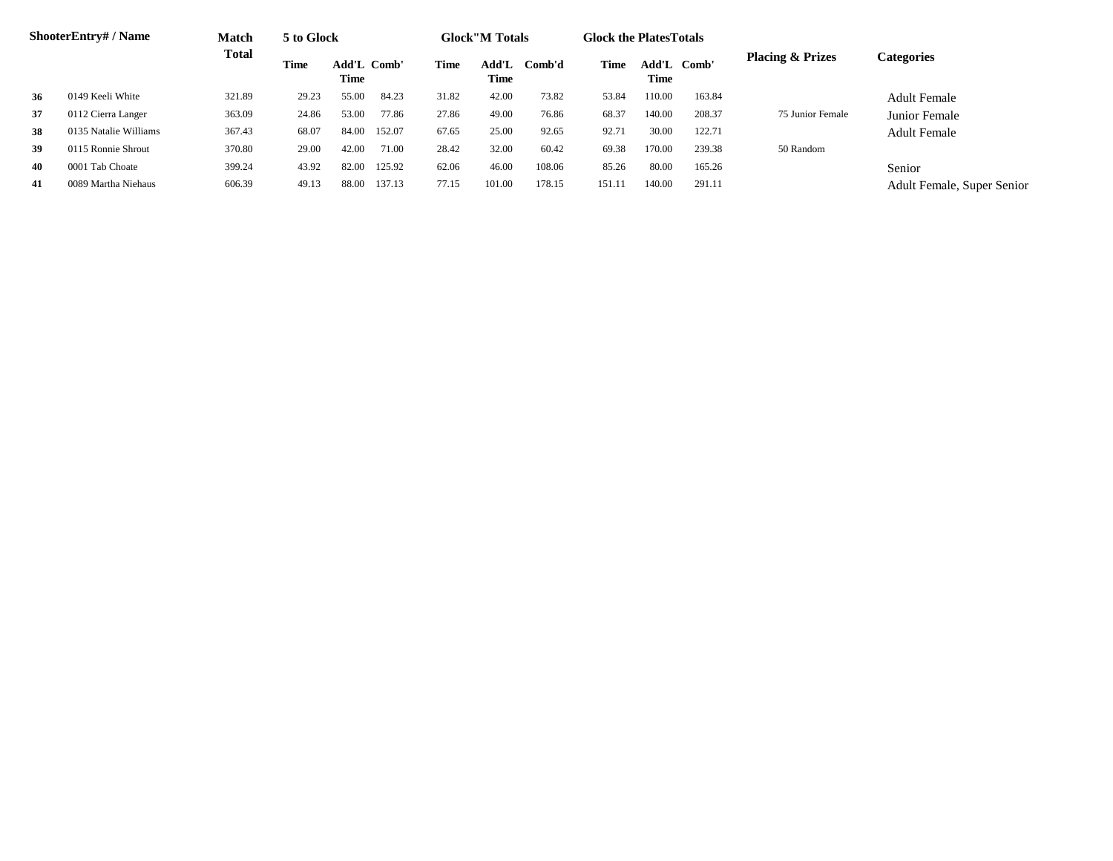|    | <b>ShooterEntry#/Name</b> | <b>Match</b> | 5 to Glock  |                     |        |       | <b>Glock</b> "M Totals |        | <b>Glock the PlatesTotals</b> |             |             |                             |                            |
|----|---------------------------|--------------|-------------|---------------------|--------|-------|------------------------|--------|-------------------------------|-------------|-------------|-----------------------------|----------------------------|
|    |                           | <b>Total</b> | <b>Time</b> | Add'L Comb'<br>Time |        | Time  | Add'L<br>Time          | Comb'd | Time                          | <b>Time</b> | Add'L Comb' | <b>Placing &amp; Prizes</b> | <b>Categories</b>          |
| 36 | 0149 Keeli White          | 321.89       | 29.23       | 55.00               | 84.23  | 31.82 | 42.00                  | 73.82  | 53.84                         | 110.00      | 163.84      |                             | Adult Female               |
| 37 | 0112 Cierra Langer        | 363.09       | 24.86       | 53.00               | 77.86  | 27.86 | 49.00                  | 76.86  | 68.37                         | 140.00      | 208.37      | 75 Junior Female            | Junior Female              |
| 38 | 0135 Natalie Williams     | 367.43       | 68.07       | 84.00               | 152.07 | 67.65 | 25.00                  | 92.65  | 92.71                         | 30.00       | 122.71      |                             | <b>Adult Female</b>        |
| 39 | 0115 Ronnie Shrout        | 370.80       | 29.00       | 42.00               | 71.00  | 28.42 | 32.00                  | 60.42  | 69.38                         | 170.00      | 239.38      | 50 Random                   |                            |
| 40 | 0001 Tab Choate           | 399.24       | 43.92       | 82.00               | 125.92 | 62.06 | 46.00                  | 108.06 | 85.26                         | 80.00       | 165.26      |                             | Senior                     |
| 41 | 0089 Martha Niehaus       | 606.39       | 49.13       | 88.00               | 137.13 | 77.15 | 101.00                 | 178.15 | 151.11                        | 140.00      | 291.11      |                             | Adult Female, Super Senior |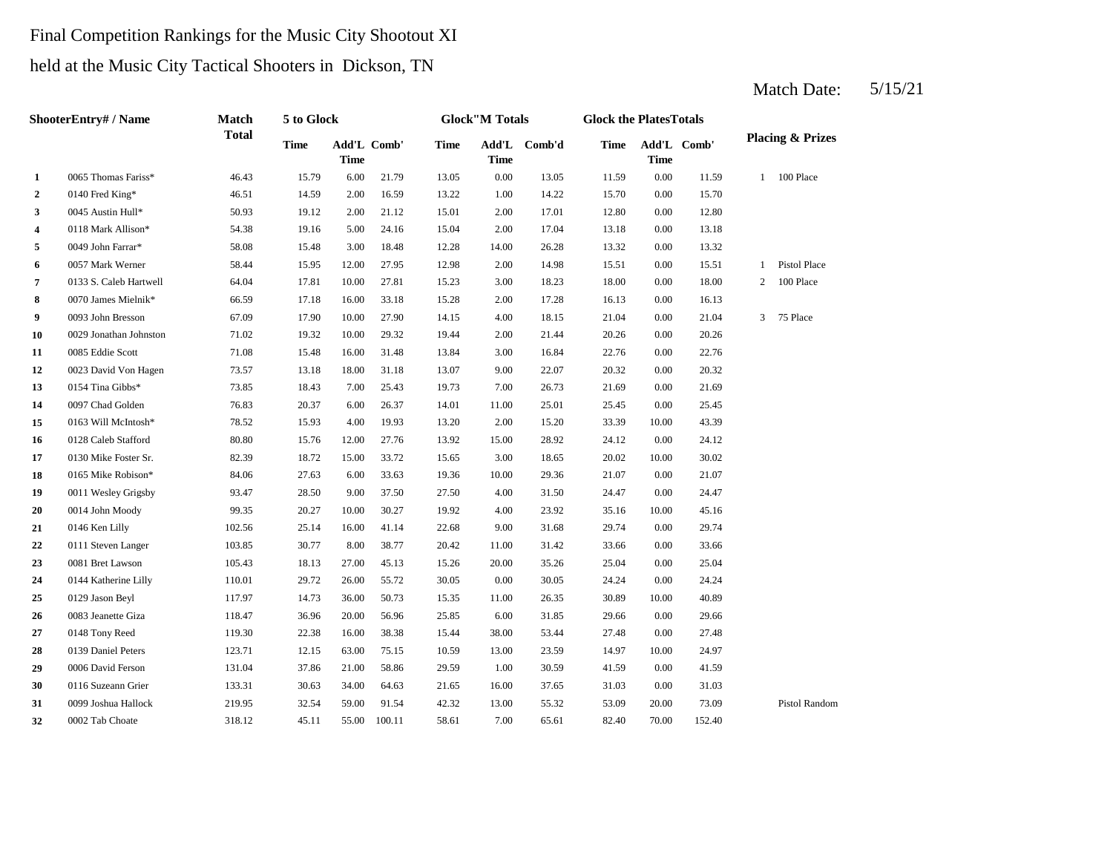# Final Competition Rankings for the Music City Shootout XI

## held at the Music City Tactical Shooters in Dickson, TN

|                | ShooterEntry# / Name   | <b>Match</b> | 5 to Glock  |                            |        |             | <b>Glock</b> "M Totals |              | <b>Glock the PlatesTotals</b> |                            |        |                |                             |
|----------------|------------------------|--------------|-------------|----------------------------|--------|-------------|------------------------|--------------|-------------------------------|----------------------------|--------|----------------|-----------------------------|
|                |                        | <b>Total</b> | <b>Time</b> | Add'L Comb'<br><b>Time</b> |        | <b>Time</b> | <b>Time</b>            | Add'L Comb'd | <b>Time</b>                   | Add'L Comb'<br><b>Time</b> |        |                | <b>Placing &amp; Prizes</b> |
| $\mathbf{1}$   | 0065 Thomas Fariss*    | 46.43        | 15.79       | 6.00                       | 21.79  | 13.05       | 0.00                   | 13.05        | 11.59                         | 0.00                       | 11.59  | 1              | 100 Place                   |
| $\overline{2}$ | 0140 Fred King*        | 46.51        | 14.59       | 2.00                       | 16.59  | 13.22       | 1.00                   | 14.22        | 15.70                         | 0.00                       | 15.70  |                |                             |
| 3              | 0045 Austin Hull*      | 50.93        | 19.12       | 2.00                       | 21.12  | 15.01       | 2.00                   | 17.01        | 12.80                         | 0.00                       | 12.80  |                |                             |
| 4              | 0118 Mark Allison*     | 54.38        | 19.16       | 5.00                       | 24.16  | 15.04       | 2.00                   | 17.04        | 13.18                         | 0.00                       | 13.18  |                |                             |
| 5              | 0049 John Farrar*      | 58.08        | 15.48       | 3.00                       | 18.48  | 12.28       | 14.00                  | 26.28        | 13.32                         | 0.00                       | 13.32  |                |                             |
| 6              | 0057 Mark Werner       | 58.44        | 15.95       | 12.00                      | 27.95  | 12.98       | 2.00                   | 14.98        | 15.51                         | 0.00                       | 15.51  | $\mathbf{1}$   | Pistol Place                |
| 7              | 0133 S. Caleb Hartwell | 64.04        | 17.81       | 10.00                      | 27.81  | 15.23       | 3.00                   | 18.23        | 18.00                         | 0.00                       | 18.00  | $\overline{2}$ | 100 Place                   |
| 8              | 0070 James Mielnik*    | 66.59        | 17.18       | 16.00                      | 33.18  | 15.28       | 2.00                   | 17.28        | 16.13                         | 0.00                       | 16.13  |                |                             |
| 9              | 0093 John Bresson      | 67.09        | 17.90       | 10.00                      | 27.90  | 14.15       | 4.00                   | 18.15        | 21.04                         | 0.00                       | 21.04  | 3              | 75 Place                    |
| 10             | 0029 Jonathan Johnston | 71.02        | 19.32       | 10.00                      | 29.32  | 19.44       | 2.00                   | 21.44        | 20.26                         | 0.00                       | 20.26  |                |                             |
| 11             | 0085 Eddie Scott       | 71.08        | 15.48       | 16.00                      | 31.48  | 13.84       | 3.00                   | 16.84        | 22.76                         | 0.00                       | 22.76  |                |                             |
| 12             | 0023 David Von Hagen   | 73.57        | 13.18       | 18.00                      | 31.18  | 13.07       | 9.00                   | 22.07        | 20.32                         | 0.00                       | 20.32  |                |                             |
| 13             | 0154 Tina Gibbs*       | 73.85        | 18.43       | 7.00                       | 25.43  | 19.73       | 7.00                   | 26.73        | 21.69                         | 0.00                       | 21.69  |                |                             |
| 14             | 0097 Chad Golden       | 76.83        | 20.37       | 6.00                       | 26.37  | 14.01       | 11.00                  | 25.01        | 25.45                         | 0.00                       | 25.45  |                |                             |
| 15             | 0163 Will McIntosh*    | 78.52        | 15.93       | 4.00                       | 19.93  | 13.20       | 2.00                   | 15.20        | 33.39                         | 10.00                      | 43.39  |                |                             |
| 16             | 0128 Caleb Stafford    | 80.80        | 15.76       | 12.00                      | 27.76  | 13.92       | 15.00                  | 28.92        | 24.12                         | 0.00                       | 24.12  |                |                             |
| 17             | 0130 Mike Foster Sr.   | 82.39        | 18.72       | 15.00                      | 33.72  | 15.65       | 3.00                   | 18.65        | 20.02                         | 10.00                      | 30.02  |                |                             |
| 18             | 0165 Mike Robison*     | 84.06        | 27.63       | 6.00                       | 33.63  | 19.36       | 10.00                  | 29.36        | 21.07                         | 0.00                       | 21.07  |                |                             |
| 19             | 0011 Wesley Grigsby    | 93.47        | 28.50       | 9.00                       | 37.50  | 27.50       | 4.00                   | 31.50        | 24.47                         | 0.00                       | 24.47  |                |                             |
| 20             | 0014 John Moody        | 99.35        | 20.27       | 10.00                      | 30.27  | 19.92       | 4.00                   | 23.92        | 35.16                         | 10.00                      | 45.16  |                |                             |
| 21             | 0146 Ken Lilly         | 102.56       | 25.14       | 16.00                      | 41.14  | 22.68       | 9.00                   | 31.68        | 29.74                         | 0.00                       | 29.74  |                |                             |
| 22             | 0111 Steven Langer     | 103.85       | 30.77       | 8.00                       | 38.77  | 20.42       | 11.00                  | 31.42        | 33.66                         | 0.00                       | 33.66  |                |                             |
| 23             | 0081 Bret Lawson       | 105.43       | 18.13       | 27.00                      | 45.13  | 15.26       | 20.00                  | 35.26        | 25.04                         | 0.00                       | 25.04  |                |                             |
| 24             | 0144 Katherine Lilly   | 110.01       | 29.72       | 26.00                      | 55.72  | 30.05       | 0.00                   | 30.05        | 24.24                         | 0.00                       | 24.24  |                |                             |
| 25             | 0129 Jason Beyl        | 117.97       | 14.73       | 36.00                      | 50.73  | 15.35       | 11.00                  | 26.35        | 30.89                         | 10.00                      | 40.89  |                |                             |
| 26             | 0083 Jeanette Giza     | 118.47       | 36.96       | 20.00                      | 56.96  | 25.85       | 6.00                   | 31.85        | 29.66                         | 0.00                       | 29.66  |                |                             |
| 27             | 0148 Tony Reed         | 119.30       | 22.38       | 16.00                      | 38.38  | 15.44       | 38.00                  | 53.44        | 27.48                         | 0.00                       | 27.48  |                |                             |
| 28             | 0139 Daniel Peters     | 123.71       | 12.15       | 63.00                      | 75.15  | 10.59       | 13.00                  | 23.59        | 14.97                         | 10.00                      | 24.97  |                |                             |
| 29             | 0006 David Ferson      | 131.04       | 37.86       | 21.00                      | 58.86  | 29.59       | 1.00                   | 30.59        | 41.59                         | 0.00                       | 41.59  |                |                             |
| 30             | 0116 Suzeann Grier     | 133.31       | 30.63       | 34.00                      | 64.63  | 21.65       | 16.00                  | 37.65        | 31.03                         | 0.00                       | 31.03  |                |                             |
| 31             | 0099 Joshua Hallock    | 219.95       | 32.54       | 59.00                      | 91.54  | 42.32       | 13.00                  | 55.32        | 53.09                         | 20.00                      | 73.09  |                | Pistol Random               |
| 32             | 0002 Tab Choate        | 318.12       | 45.11       | 55.00                      | 100.11 | 58.61       | 7.00                   | 65.61        | 82.40                         | 70.00                      | 152.40 |                |                             |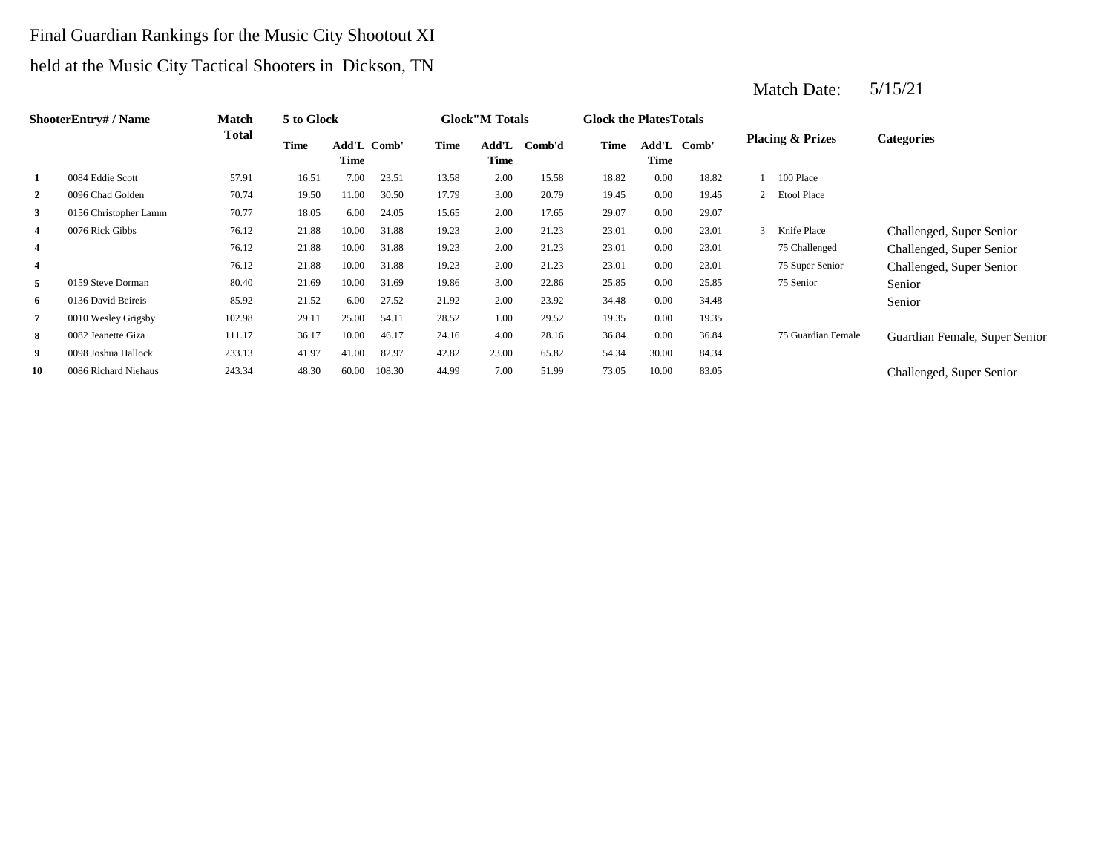# Final Guardian Rankings for the Music City Shootout XI held at the Music City Tactical Shooters in Dickson, TN

|                | <b>ShooterEntry#/Name</b> | Match        | 5 to Glock |                     |        |             | <b>Glock</b> "M Totals |        | <b>Glock the PlatesTotals</b> |       |             |                             |                               |
|----------------|---------------------------|--------------|------------|---------------------|--------|-------------|------------------------|--------|-------------------------------|-------|-------------|-----------------------------|-------------------------------|
|                |                           | <b>Total</b> | Time       | Add'L Comb'<br>Time |        | <b>Time</b> | Add'L<br>Time          | Comb'd | <b>Time</b>                   | Time  | Add'L Comb' | <b>Placing &amp; Prizes</b> | <b>Categories</b>             |
|                | 0084 Eddie Scott          | 57.91        | 16.51      | 7.00                | 23.51  | 13.58       | 2.00                   | 15.58  | 18.82                         | 0.00  | 18.82       | 100 Place                   |                               |
| 2              | 0096 Chad Golden          | 70.74        | 19.50      | 11.00               | 30.50  | 17.79       | 3.00                   | 20.79  | 19.45                         | 0.00  | 19.45       | 2 Etool Place               |                               |
| 3              | 0156 Christopher Lamm     | 70.77        | 18.05      | 6.00                | 24.05  | 15.65       | 2.00                   | 17.65  | 29.07                         | 0.00  | 29.07       |                             |                               |
| 4              | 0076 Rick Gibbs           | 76.12        | 21.88      | 10.00               | 31.88  | 19.23       | 2.00                   | 21.23  | 23.01                         | 0.00  | 23.01       | Knife Place                 | Challenged, Super Senior      |
| 4              |                           | 76.12        | 21.88      | 10.00               | 31.88  | 19.23       | 2.00                   | 21.23  | 23.01                         | 0.00  | 23.01       | 75 Challenged               | Challenged, Super Senior      |
| $\overline{4}$ |                           | 76.12        | 21.88      | 10.00               | 31.88  | 19.23       | 2.00                   | 21.23  | 23.01                         | 0.00  | 23.01       | 75 Super Senior             | Challenged, Super Senior      |
| 5              | 0159 Steve Dorman         | 80.40        | 21.69      | 10.00               | 31.69  | 19.86       | 3.00                   | 22.86  | 25.85                         | 0.00  | 25.85       | 75 Senior                   | Senior                        |
| 6              | 0136 David Beireis        | 85.92        | 21.52      | 6.00                | 27.52  | 21.92       | 2.00                   | 23.92  | 34.48                         | 0.00  | 34.48       |                             | Senior                        |
| 7              | 0010 Wesley Grigsby       | 102.98       | 29.11      | 25.00               | 54.11  | 28.52       | 1.00                   | 29.52  | 19.35                         | 0.00  | 19.35       |                             |                               |
| 8              | 0082 Jeanette Giza        | 111.17       | 36.17      | 10.00               | 46.17  | 24.16       | 4.00                   | 28.16  | 36.84                         | 0.00  | 36.84       | 75 Guardian Female          | Guardian Female, Super Senior |
| 9              | 0098 Joshua Hallock       | 233.13       | 41.97      | 41.00               | 82.97  | 42.82       | 23.00                  | 65.82  | 54.34                         | 30.00 | 84.34       |                             |                               |
| 10             | 0086 Richard Niehaus      | 243.34       | 48.30      | 60.00               | 108.30 | 44.99       | 7.00                   | 51.99  | 73.05                         | 10.00 | 83.05       |                             | Challenged, Super Senior      |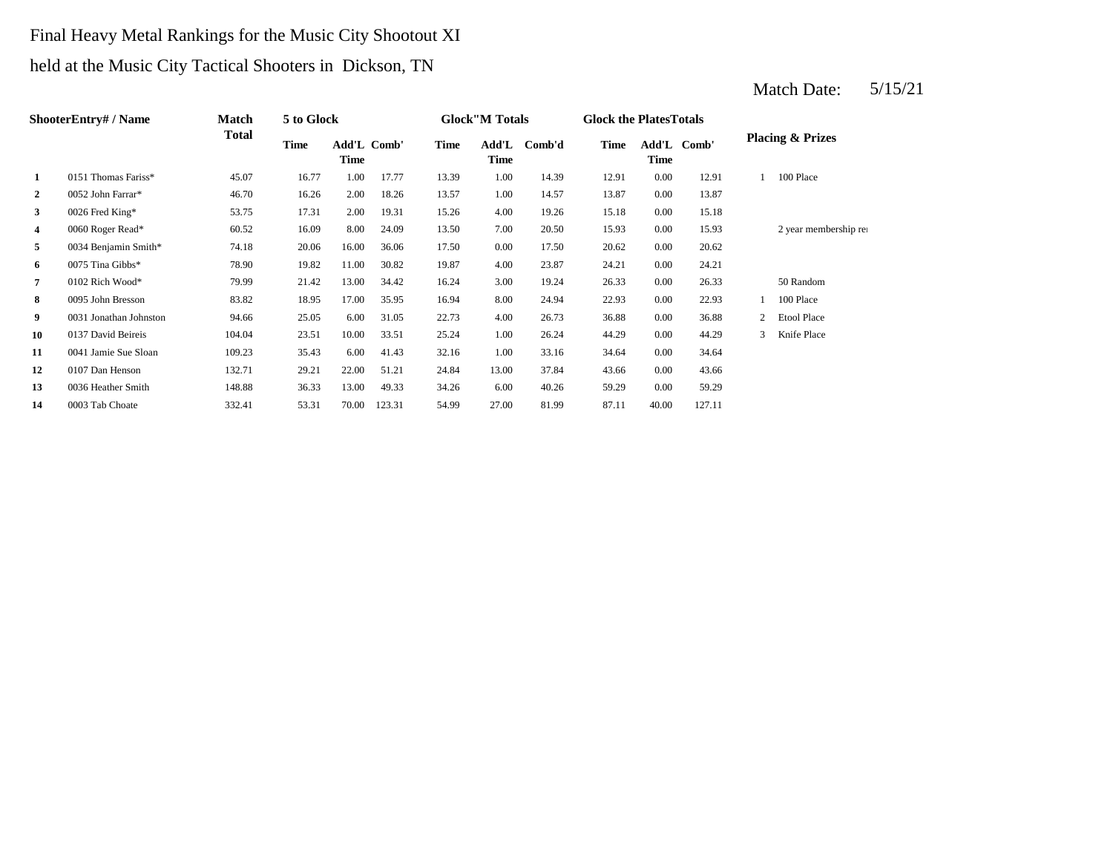# Final Heavy Metal Rankings for the Music City Shootout XI held at the Music City Tactical Shooters in Dickson, TN

|                | <b>ShooterEntry#/Name</b> | Match  | 5 to Glock |       |             |             | <b>Glock</b> "M Totals |        | <b>Glock the PlatesTotals</b> |       |             |              |                             |
|----------------|---------------------------|--------|------------|-------|-------------|-------------|------------------------|--------|-------------------------------|-------|-------------|--------------|-----------------------------|
|                |                           | Total  | Time       | Time  | Add'L Comb' | <b>Time</b> | Add'L<br>Time          | Comb'd | <b>Time</b>                   | Time  | Add'L Comb' |              | <b>Placing &amp; Prizes</b> |
| 1              | 0151 Thomas Fariss*       | 45.07  | 16.77      | 1.00  | 17.77       | 13.39       | 1.00                   | 14.39  | 12.91                         | 0.00  | 12.91       |              | 100 Place                   |
| $\overline{2}$ | 0052 John Farrar*         | 46.70  | 16.26      | 2.00  | 18.26       | 13.57       | 1.00                   | 14.57  | 13.87                         | 0.00  | 13.87       |              |                             |
| 3              | 0026 Fred King*           | 53.75  | 17.31      | 2.00  | 19.31       | 15.26       | 4.00                   | 19.26  | 15.18                         | 0.00  | 15.18       |              |                             |
| 4              | 0060 Roger Read*          | 60.52  | 16.09      | 8.00  | 24.09       | 13.50       | 7.00                   | 20.50  | 15.93                         | 0.00  | 15.93       |              | 2 year membership rea       |
| 5              | 0034 Benjamin Smith*      | 74.18  | 20.06      | 16.00 | 36.06       | 17.50       | $0.00\,$               | 17.50  | 20.62                         | 0.00  | 20.62       |              |                             |
| 6              | 0075 Tina Gibbs*          | 78.90  | 19.82      | 11.00 | 30.82       | 19.87       | 4.00                   | 23.87  | 24.21                         | 0.00  | 24.21       |              |                             |
| $\overline{7}$ | 0102 Rich Wood*           | 79.99  | 21.42      | 13.00 | 34.42       | 16.24       | 3.00                   | 19.24  | 26.33                         | 0.00  | 26.33       |              | 50 Random                   |
| 8              | 0095 John Bresson         | 83.82  | 18.95      | 17.00 | 35.95       | 16.94       | 8.00                   | 24.94  | 22.93                         | 0.00  | 22.93       |              | 100 Place                   |
| 9              | 0031 Jonathan Johnston    | 94.66  | 25.05      | 6.00  | 31.05       | 22.73       | 4.00                   | 26.73  | 36.88                         | 0.00  | 36.88       | $\mathbf{2}$ | <b>Etool Place</b>          |
| 10             | 0137 David Beireis        | 104.04 | 23.51      | 10.00 | 33.51       | 25.24       | 1.00                   | 26.24  | 44.29                         | 0.00  | 44.29       | 3            | Knife Place                 |
| 11             | 0041 Jamie Sue Sloan      | 109.23 | 35.43      | 6.00  | 41.43       | 32.16       | 1.00                   | 33.16  | 34.64                         | 0.00  | 34.64       |              |                             |
| 12             | 0107 Dan Henson           | 132.71 | 29.21      | 22.00 | 51.21       | 24.84       | 13.00                  | 37.84  | 43.66                         | 0.00  | 43.66       |              |                             |
| 13             | 0036 Heather Smith        | 148.88 | 36.33      | 13.00 | 49.33       | 34.26       | 6.00                   | 40.26  | 59.29                         | 0.00  | 59.29       |              |                             |
| 14             | 0003 Tab Choate           | 332.41 | 53.31      | 70.00 | 123.31      | 54.99       | 27.00                  | 81.99  | 87.11                         | 40.00 | 127.11      |              |                             |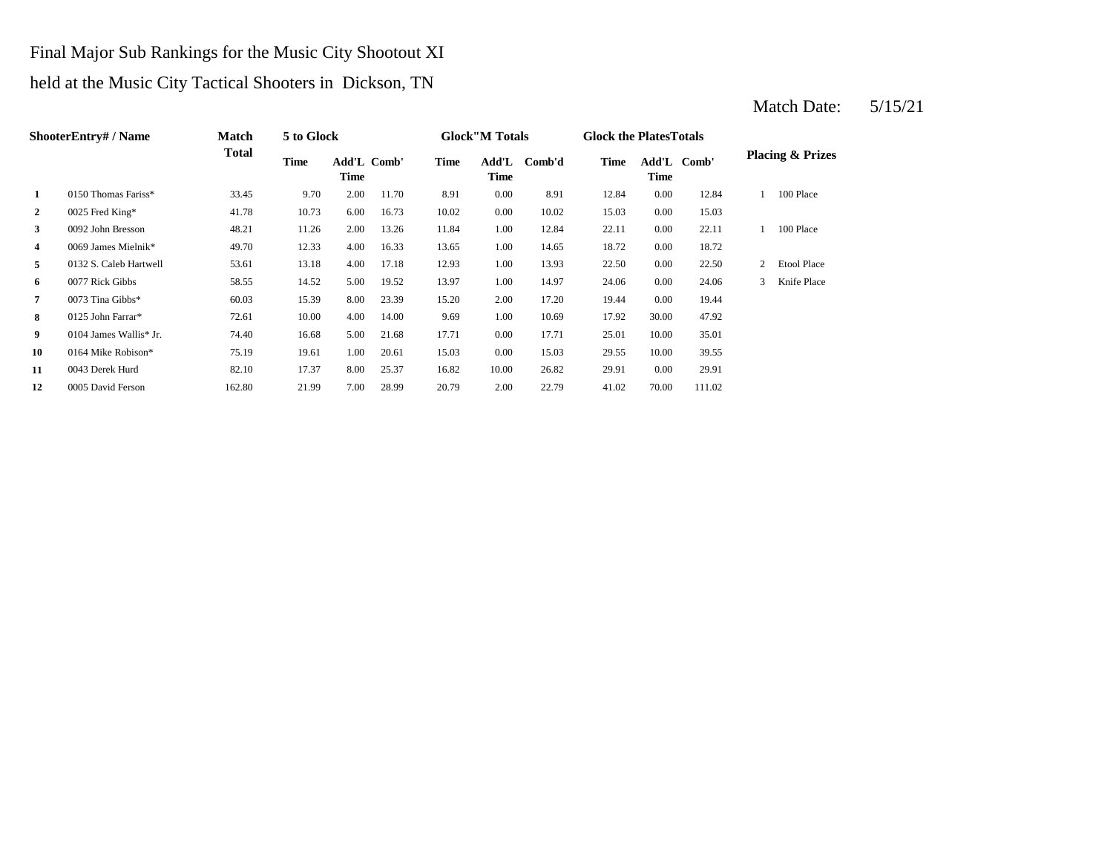## Final Major Sub Rankings for the Music City Shootout XI

# held at the Music City Tactical Shooters in Dickson, TN

|                | <b>ShooterEntry#/Name</b> | Match        | 5 to Glock |      |             |             | <b>Glock</b> "M Totals |        | <b>Glock the PlatesTotals</b> |       |             |                |                             |
|----------------|---------------------------|--------------|------------|------|-------------|-------------|------------------------|--------|-------------------------------|-------|-------------|----------------|-----------------------------|
|                |                           | <b>Total</b> | Time       | Time | Add'L Comb' | <b>Time</b> | Add'L<br>Time          | Comb'd | <b>Time</b>                   | Time  | Add'L Comb' |                | <b>Placing &amp; Prizes</b> |
| 1              | 0150 Thomas Fariss*       | 33.45        | 9.70       | 2.00 | 11.70       | 8.91        | 0.00                   | 8.91   | 12.84                         | 0.00  | 12.84       |                | 100 Place                   |
| $\overline{2}$ | 0025 Fred King*           | 41.78        | 10.73      | 6.00 | 16.73       | 10.02       | 0.00                   | 10.02  | 15.03                         | 0.00  | 15.03       |                |                             |
| 3              | 0092 John Bresson         | 48.21        | 11.26      | 2.00 | 13.26       | 11.84       | 1.00                   | 12.84  | 22.11                         | 0.00  | 22.11       |                | 100 Place                   |
| 4              | 0069 James Mielnik*       | 49.70        | 12.33      | 4.00 | 16.33       | 13.65       | 1.00                   | 14.65  | 18.72                         | 0.00  | 18.72       |                |                             |
| 5              | 0132 S. Caleb Hartwell    | 53.61        | 13.18      | 4.00 | 17.18       | 12.93       | 1.00                   | 13.93  | 22.50                         | 0.00  | 22.50       | $\overline{2}$ | <b>Etool Place</b>          |
| 6              | 0077 Rick Gibbs           | 58.55        | 14.52      | 5.00 | 19.52       | 13.97       | 1.00                   | 14.97  | 24.06                         | 0.00  | 24.06       | 3              | Knife Place                 |
| 7              | 0073 Tina Gibbs*          | 60.03        | 15.39      | 8.00 | 23.39       | 15.20       | 2.00                   | 17.20  | 19.44                         | 0.00  | 19.44       |                |                             |
| 8              | 0125 John Farrar*         | 72.61        | 10.00      | 4.00 | 14.00       | 9.69        | 1.00                   | 10.69  | 17.92                         | 30.00 | 47.92       |                |                             |
| 9              | 0104 James Wallis* Jr.    | 74.40        | 16.68      | 5.00 | 21.68       | 17.71       | 0.00                   | 17.71  | 25.01                         | 10.00 | 35.01       |                |                             |
| 10             | 0164 Mike Robison*        | 75.19        | 19.61      | 1.00 | 20.61       | 15.03       | 0.00                   | 15.03  | 29.55                         | 10.00 | 39.55       |                |                             |
| 11             | 0043 Derek Hurd           | 82.10        | 17.37      | 8.00 | 25.37       | 16.82       | 10.00                  | 26.82  | 29.91                         | 0.00  | 29.91       |                |                             |
| 12             | 0005 David Ferson         | 162.80       | 21.99      | 7.00 | 28.99       | 20.79       | 2.00                   | 22.79  | 41.02                         | 70.00 | 111.02      |                |                             |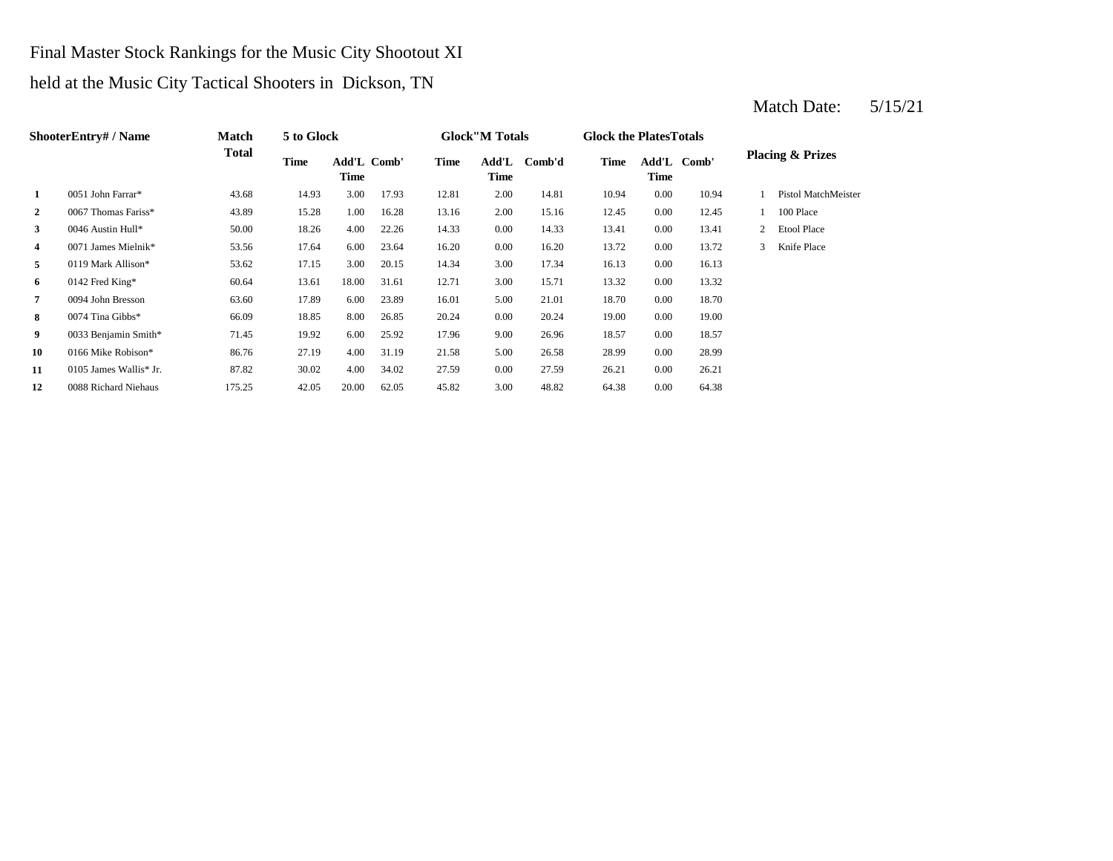## Final Master Stock Rankings for the Music City Shootout XI

# held at the Music City Tactical Shooters in Dickson, TN

|                | <b>ShooterEntry#/Name</b> | Match        | 5 to Glock  |                            |       |       | <b>Glock</b> "M Totals |        | <b>Glock the PlatesTotals</b> |          |             |   |                             |
|----------------|---------------------------|--------------|-------------|----------------------------|-------|-------|------------------------|--------|-------------------------------|----------|-------------|---|-----------------------------|
|                |                           | <b>Total</b> | <b>Time</b> | Add'L Comb'<br><b>Time</b> |       | Time  | Add'L<br>Time          | Comb'd | <b>Time</b>                   | Time     | Add'L Comb' |   | <b>Placing &amp; Prizes</b> |
| $\mathbf{1}$   | 0051 John Farrar*         | 43.68        | 14.93       | 3.00                       | 17.93 | 12.81 | 2.00                   | 14.81  | 10.94                         | 0.00     | 10.94       |   | Pistol MatchMeister         |
| $\overline{2}$ | 0067 Thomas Fariss*       | 43.89        | 15.28       | 1.00                       | 16.28 | 13.16 | 2.00                   | 15.16  | 12.45                         | $0.00\,$ | 12.45       |   | 100 Place                   |
| 3              | 0046 Austin Hull*         | 50.00        | 18.26       | 4.00                       | 22.26 | 14.33 | 0.00                   | 14.33  | 13.41                         | 0.00     | 13.41       | 2 | <b>Etool Place</b>          |
| 4              | 0071 James Mielnik*       | 53.56        | 17.64       | 6.00                       | 23.64 | 16.20 | 0.00                   | 16.20  | 13.72                         | 0.00     | 13.72       | 3 | Knife Place                 |
| 5              | 0119 Mark Allison*        | 53.62        | 17.15       | 3.00                       | 20.15 | 14.34 | 3.00                   | 17.34  | 16.13                         | $0.00\,$ | 16.13       |   |                             |
| 6              | 0142 Fred King*           | 60.64        | 13.61       | 18.00                      | 31.61 | 12.71 | 3.00                   | 15.71  | 13.32                         | 0.00     | 13.32       |   |                             |
| 7              | 0094 John Bresson         | 63.60        | 17.89       | 6.00                       | 23.89 | 16.01 | 5.00                   | 21.01  | 18.70                         | $0.00\,$ | 18.70       |   |                             |
| 8              | 0074 Tina Gibbs*          | 66.09        | 18.85       | 8.00                       | 26.85 | 20.24 | 0.00                   | 20.24  | 19.00                         | 0.00     | 19.00       |   |                             |
| 9              | 0033 Benjamin Smith*      | 71.45        | 19.92       | 6.00                       | 25.92 | 17.96 | 9.00                   | 26.96  | 18.57                         | $0.00\,$ | 18.57       |   |                             |
| 10             | 0166 Mike Robison*        | 86.76        | 27.19       | 4.00                       | 31.19 | 21.58 | 5.00                   | 26.58  | 28.99                         | 0.00     | 28.99       |   |                             |
| 11             | 0105 James Wallis* Jr.    | 87.82        | 30.02       | 4.00                       | 34.02 | 27.59 | $0.00\,$               | 27.59  | 26.21                         | $0.00\,$ | 26.21       |   |                             |
| 12             | 0088 Richard Niehaus      | 175.25       | 42.05       | 20.00                      | 62.05 | 45.82 | 3.00                   | 48.82  | 64.38                         | 0.00     | 64.38       |   |                             |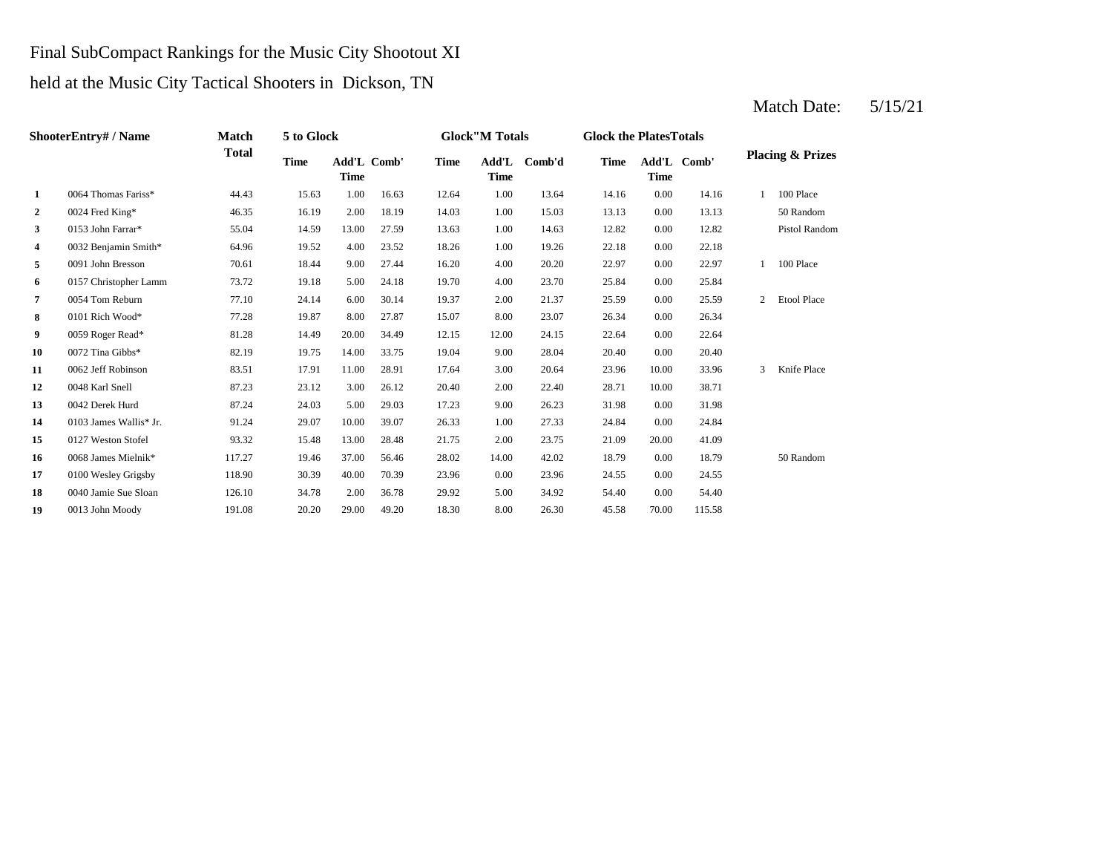#### Final SubCompact Rankings for the Music City Shootout XI

#### held at the Music City Tactical Shooters in Dickson, TN

#### Match Date:  $5/15/21$

**2** 1.00 15.03 13.13 16.19 16.19 16.19 17.19 17.19 14.03 15.03 13.13 **3** 1.00 14.63 12.82 13.00 13.00 27.59 13.63 1.00 14.63 12.82 **4** 1.00 22.18 0032 Benjamin Smith\* 64.96 19.52 4.00 23.52 18.26 19.26 0.00 22.18 **5** 4.00 **20.20 5** 4.00 **20.20 5** 4.00 **20.20 5** 4.00 **20.20 22.97 6** 0157 Christopher Lamm **73.72** 19.18 5.00 24.18 19.70 4.00 23.70 25.84 0.00 25.84 **7** 2.00 21.37 **2.59** 27.10 24.14 **6.00 30.14** 19.37 2.00 21.37 25.59 **8** 8 0101 Rich Wood\* 77.28 19.87 8.00 27.87 15.07 8.00 23.07 26.34 0.00 26.34 **9** 0059 Roger Read\* 81.28 14.49 20.00 34.49 12.15 12.00 24.15 22.64 0.00 22.64 **10** 0072 Tina Gibbs\* 82.19 19.75 14.00 33.75 19.04 9.00 28.04 20.40 11 0062 Jeff Robinson 83.51 17.91 11.00 28.91 17.64 3.00 20.64 23.96 **12** 0048 Karl Snell **12** 87.23 **12** 23.12 **12** 20.40 **12.00** 22.40 **12.71 13** 9.00 26.23 **13.98 13.98 14.03 14.03 14.03 15.00 29.03 17.23 1.08 26.23 1.98 14** 1.00 24.84 0103 James Wallis\* Jr. 91.24 29.07 10.00 39.07 26.33 27.33 0.00 24.84 **15** 2.00 21.09 0127 Weston Stofel 93.32 15.48 13.00 28.48 21.75 23.75 20.00 41.09 **16** 0068 James Mielnik\* 117.27 19.46 37.00 56.46 28.02 14.00 42.02 18.79 0.00 18.79 50 Random **17** 0100 Wesley Grigsby 118.90 30.39 40.00 70.39 23.96 0.00 23.96 24.55 0.00 24.55 **18** 0040 Jamie Sue Sloan 126.10 34.78 2.00 36.78 29.92 5.00 34.92 54.40 0.00 54.40 **19** 8.00 45.58 0013 John Moody 191.08 20.20 29.00 49.20 18.30 26.30 70.00 115.58**ShooterEntry# / Name Match Total 5 to Glock Time Glock"M Totals Glock the PlatesTotals Placing & Prizes Time Add'L Comb'd Time Add'L Comb' Time** Add'L Comb' **Time Add'L Time Time 1** 0064 Thomas Fariss\* 44.43 15.63 1.00 16.63 12.64 1.00 13.64 14.16 0.00 14.16 1 100 Place 0024 Fred King\* 46.35 16.19 2.00 18.19 14.03 15.03 0.00 13.13 50 Random 0153 John Farrar\* 55.04 14.59 13.00 27.59 13.63 14.63 0.00 12.82 Pistol Random 0091 John Bresson 70.61 18.44 9.00 27.44 16.20 20.20 0.00 22.97 1 100 Place 0054 Tom Reburn 17.10 24.14 6.00 30.14 19.37 2.00 21.37 25.59 0.00 25.59 2 Etool Place 0072 Tina Gibbs\* 82.19 19.75 14.00 33.75 19.04 9.00 28.04 20.40 0.00 20.40 0062 Jeff Robinson **83.51** 17.91 11.00 28.91 17.64 3.00 20.64 23.96 10.00 33.96 3 Knife Place 0048 Karl Snell 87.23 23.12 3.00 26.12 20.40 2.00 22.40 28.71 10.00 38.71 0042 Derek Hurd 87.24 24.03 5.00 29.03 17.23 9.00 26.23 31.98 0.00 31.98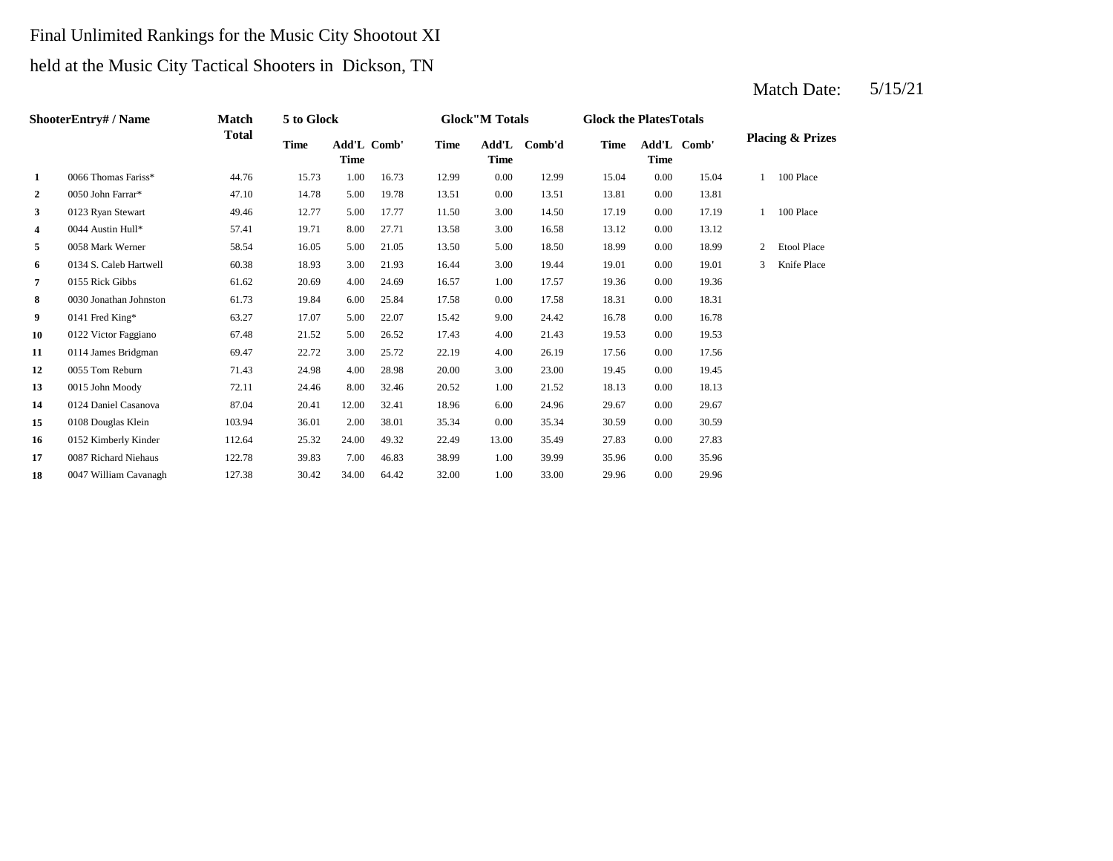# Final Unlimited Rankings for the Music City Shootout XI held at the Music City Tactical Shooters in Dickson, TN

|                | <b>ShooterEntry#/Name</b> | Match        | 5 to Glock  |                     |       |             | <b>Glock</b> "M Totals |        | <b>Glock the Plates Totals</b> |             |             |                |                             |
|----------------|---------------------------|--------------|-------------|---------------------|-------|-------------|------------------------|--------|--------------------------------|-------------|-------------|----------------|-----------------------------|
|                |                           | <b>Total</b> | <b>Time</b> | Add'L Comb'<br>Time |       | <b>Time</b> | Add'L<br><b>Time</b>   | Comb'd | <b>Time</b>                    | <b>Time</b> | Add'L Comb' |                | <b>Placing &amp; Prizes</b> |
| 1              | 0066 Thomas Fariss*       | 44.76        | 15.73       | 1.00                | 16.73 | 12.99       | 0.00                   | 12.99  | 15.04                          | 0.00        | 15.04       |                | 100 Place                   |
| $\overline{2}$ | 0050 John Farrar*         | 47.10        | 14.78       | 5.00                | 19.78 | 13.51       | 0.00                   | 13.51  | 13.81                          | 0.00        | 13.81       |                |                             |
| 3              | 0123 Ryan Stewart         | 49.46        | 12.77       | 5.00                | 17.77 | 11.50       | 3.00                   | 14.50  | 17.19                          | 0.00        | 17.19       |                | 100 Place                   |
| 4              | 0044 Austin Hull*         | 57.41        | 19.71       | 8.00                | 27.71 | 13.58       | 3.00                   | 16.58  | 13.12                          | 0.00        | 13.12       |                |                             |
| 5              | 0058 Mark Werner          | 58.54        | 16.05       | 5.00                | 21.05 | 13.50       | 5.00                   | 18.50  | 18.99                          | 0.00        | 18.99       | $\overline{2}$ | <b>Etool Place</b>          |
| 6              | 0134 S. Caleb Hartwell    | 60.38        | 18.93       | 3.00                | 21.93 | 16.44       | 3.00                   | 19.44  | 19.01                          | 0.00        | 19.01       | 3              | Knife Place                 |
| 7              | 0155 Rick Gibbs           | 61.62        | 20.69       | 4.00                | 24.69 | 16.57       | 1.00                   | 17.57  | 19.36                          | 0.00        | 19.36       |                |                             |
| 8              | 0030 Jonathan Johnston    | 61.73        | 19.84       | 6.00                | 25.84 | 17.58       | 0.00                   | 17.58  | 18.31                          | 0.00        | 18.31       |                |                             |
| 9              | 0141 Fred King*           | 63.27        | 17.07       | 5.00                | 22.07 | 15.42       | 9.00                   | 24.42  | 16.78                          | 0.00        | 16.78       |                |                             |
| 10             | 0122 Victor Faggiano      | 67.48        | 21.52       | 5.00                | 26.52 | 17.43       | 4.00                   | 21.43  | 19.53                          | 0.00        | 19.53       |                |                             |
| 11             | 0114 James Bridgman       | 69.47        | 22.72       | 3.00                | 25.72 | 22.19       | 4.00                   | 26.19  | 17.56                          | 0.00        | 17.56       |                |                             |
| 12             | 0055 Tom Reburn           | 71.43        | 24.98       | 4.00                | 28.98 | 20.00       | 3.00                   | 23.00  | 19.45                          | 0.00        | 19.45       |                |                             |
| 13             | 0015 John Moody           | 72.11        | 24.46       | 8.00                | 32.46 | 20.52       | 1.00                   | 21.52  | 18.13                          | 0.00        | 18.13       |                |                             |
| 14             | 0124 Daniel Casanova      | 87.04        | 20.41       | 12.00               | 32.41 | 18.96       | 6.00                   | 24.96  | 29.67                          | 0.00        | 29.67       |                |                             |
| 15             | 0108 Douglas Klein        | 103.94       | 36.01       | 2.00                | 38.01 | 35.34       | 0.00                   | 35.34  | 30.59                          | 0.00        | 30.59       |                |                             |
| 16             | 0152 Kimberly Kinder      | 112.64       | 25.32       | 24.00               | 49.32 | 22.49       | 13.00                  | 35.49  | 27.83                          | 0.00        | 27.83       |                |                             |
| 17             | 0087 Richard Niehaus      | 122.78       | 39.83       | 7.00                | 46.83 | 38.99       | 1.00                   | 39.99  | 35.96                          | 0.00        | 35.96       |                |                             |
| 18             | 0047 William Cavanagh     | 127.38       | 30.42       | 34.00               | 64.42 | 32.00       | 1.00                   | 33.00  | 29.96                          | 0.00        | 29.96       |                |                             |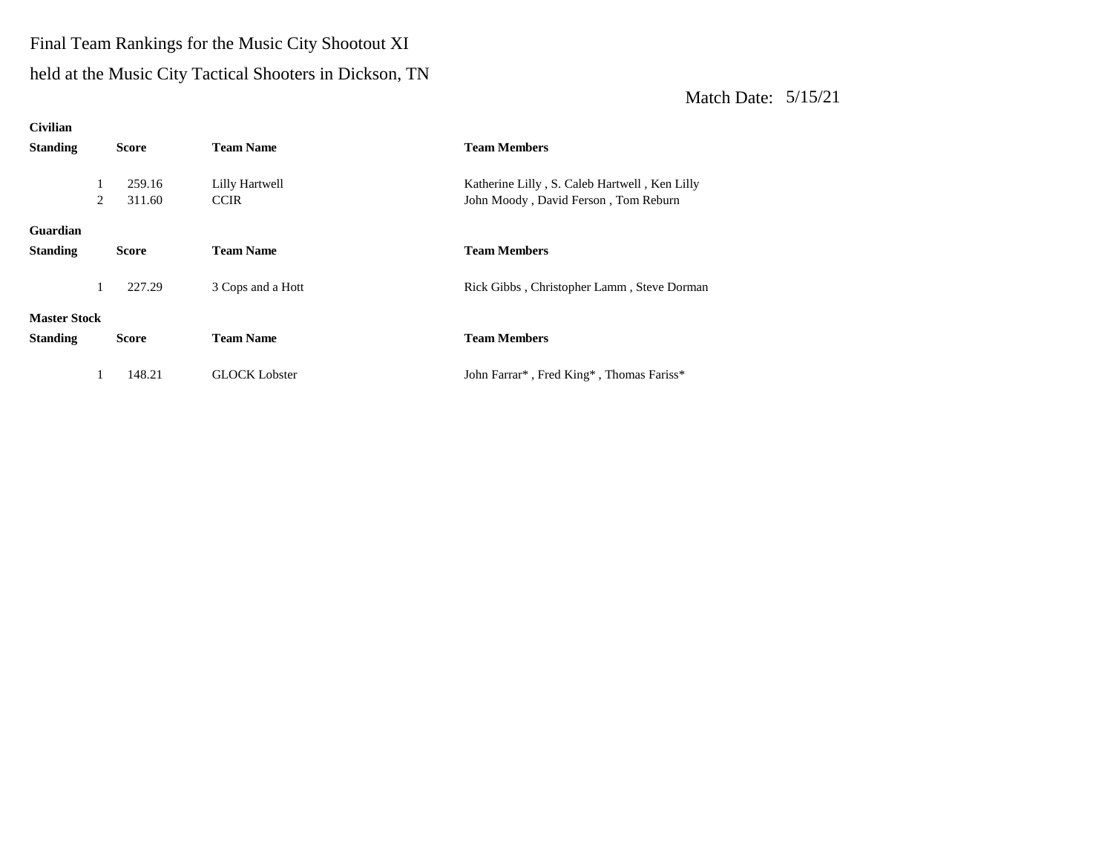## Final Team Rankings for the Music City Shootout XI

#### held at the Music City Tactical Shooters in Dickson, TN

| <b>Civilian</b>     |   |              |                      |                                                                                |
|---------------------|---|--------------|----------------------|--------------------------------------------------------------------------------|
| <b>Standing</b>     |   | <b>Score</b> | <b>Team Name</b>     | <b>Team Members</b>                                                            |
|                     |   |              |                      |                                                                                |
|                     | 1 | 259.16       | Lilly Hartwell       | Katherine Lilly, S. Caleb Hartwell, Ken Lilly                                  |
|                     | 2 | 311.60       | <b>CCIR</b>          | John Moody, David Ferson, Tom Reburn                                           |
|                     |   |              |                      |                                                                                |
| <b>Guardian</b>     |   |              |                      |                                                                                |
| <b>Standing</b>     |   | <b>Score</b> | <b>Team Name</b>     | <b>Team Members</b>                                                            |
|                     |   |              |                      |                                                                                |
|                     |   | 227.29       | 3 Cops and a Hott    | Rick Gibbs, Christopher Lamm, Steve Dorman                                     |
|                     |   |              |                      |                                                                                |
| <b>Master Stock</b> |   |              |                      |                                                                                |
| <b>Standing</b>     |   | <b>Score</b> | <b>Team Name</b>     | <b>Team Members</b>                                                            |
|                     |   |              |                      |                                                                                |
|                     |   | 148.21       | <b>GLOCK Lobster</b> | John Farrar <sup>*</sup> , Fred King <sup>*</sup> , Thomas Fariss <sup>*</sup> |
|                     |   |              |                      |                                                                                |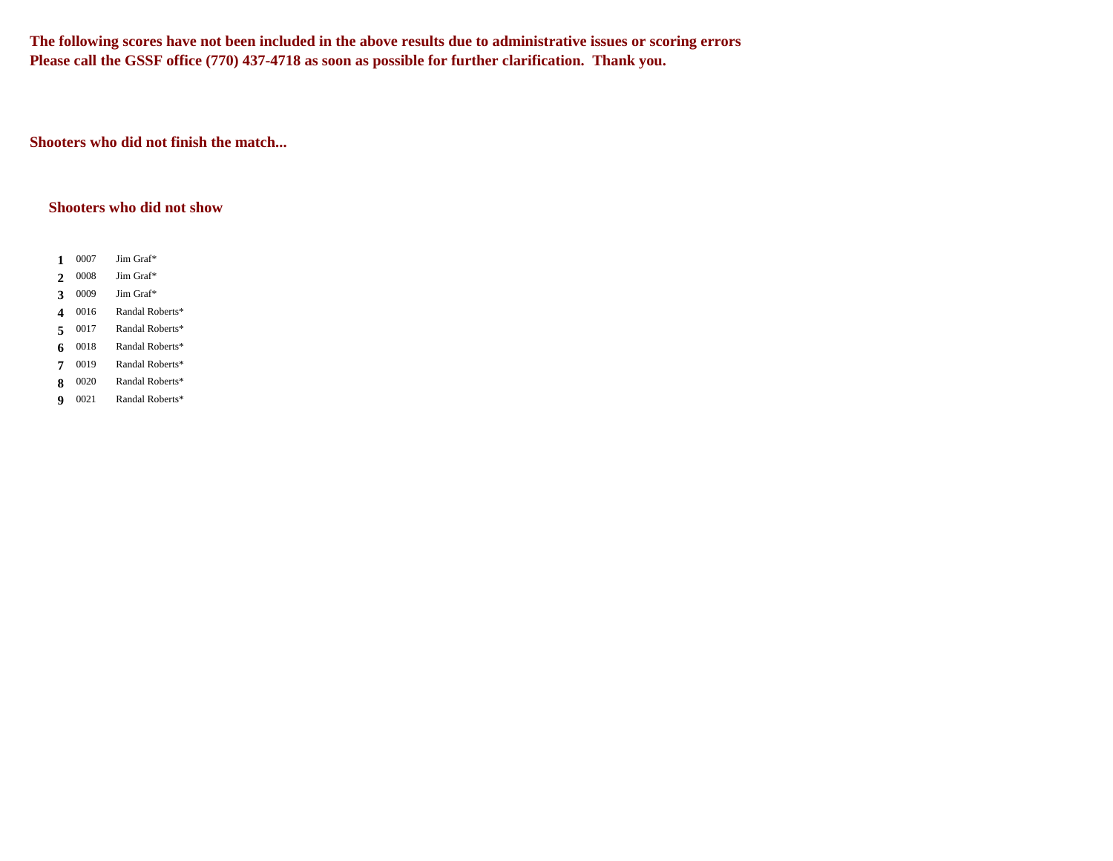**The following scores have not been included in the above results due to administrative issues or scoring errors Please call the GSSF office (770) 437-4718 as soon as possible for further clarification. Thank you.**

**Shooters who did not finish the match...**

#### **Shooters who did not show**

- 1 0007 **1** Jim Graf\*
- 0008 2 0008 Jim Graf\*
- 0009 **3** 0009 Jim Graf\*
- 0016 4 0016 Randal Roberts\*
- 0017 5 0017 Randal Roberts\*
- 0018 **6** 0018 Randal Roberts\*
- 7 0019 **7** Randal Roberts\*
- 0020 8 0020 Randal Roberts\*
- 0021 **9** Randal Roberts\*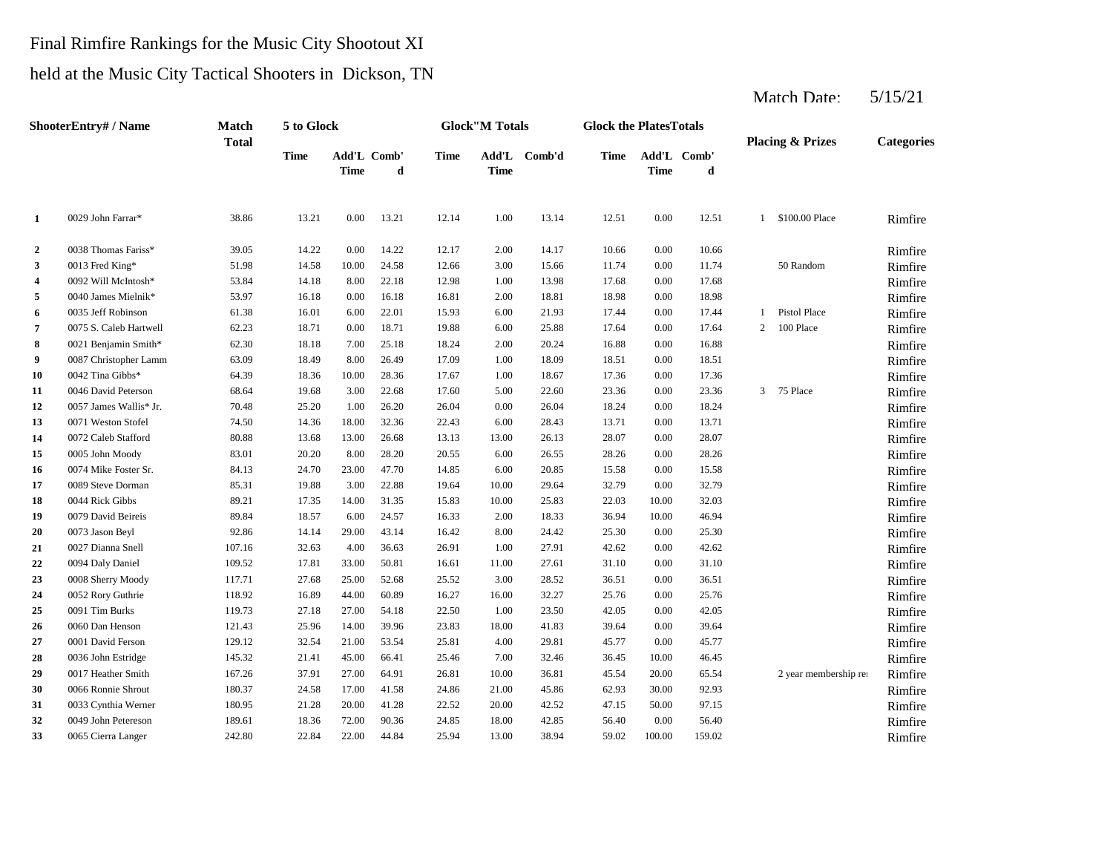## Final Rimfire Rankings for the Music City Shootout XI

#### held at the Music City Tactical Shooters in Dickson, TN

|                  | <b>ShooterEntry#/Name</b> | Match<br><b>Total</b> | 5 to Glock |                            |       |       | <b>Glock</b> "M Totals |              | <b>Glock the PlatesTotals</b> |             |                  |              | <b>Placing &amp; Prizes</b> | <b>Categories</b> |
|------------------|---------------------------|-----------------------|------------|----------------------------|-------|-------|------------------------|--------------|-------------------------------|-------------|------------------|--------------|-----------------------------|-------------------|
|                  |                           |                       | Time       | Add'L Comb'<br><b>Time</b> | d     | Time  | <b>Time</b>            | Add'L Comb'd | Time                          | <b>Time</b> | Add'L Comb'<br>d |              |                             |                   |
| 1                | 0029 John Farrar*         | 38.86                 | 13.21      | 0.00                       | 13.21 | 12.14 | 1.00                   | 13.14        | 12.51                         | 0.00        | 12.51            | $\mathbf{1}$ | \$100.00 Place              | Rimfire           |
| $\boldsymbol{2}$ | 0038 Thomas Fariss*       | 39.05                 | 14.22      | 0.00                       | 14.22 | 12.17 | 2.00                   | 14.17        | 10.66                         | 0.00        | 10.66            |              |                             | Rimfire           |
| 3                | 0013 Fred King*           | 51.98                 | 14.58      | 10.00                      | 24.58 | 12.66 | 3.00                   | 15.66        | 11.74                         | 0.00        | 11.74            |              | 50 Random                   | Rimfire           |
| 4                | 0092 Will McIntosh*       | 53.84                 | 14.18      | 8.00                       | 22.18 | 12.98 | 1.00                   | 13.98        | 17.68                         | 0.00        | 17.68            |              |                             | Rimfire           |
| 5                | 0040 James Mielnik*       | 53.97                 | 16.18      | 0.00                       | 16.18 | 16.81 | 2.00                   | 18.81        | 18.98                         | 0.00        | 18.98            |              |                             | Rimfire           |
| 6                | 0035 Jeff Robinson        | 61.38                 | 16.01      | 6.00                       | 22.01 | 15.93 | 6.00                   | 21.93        | 17.44                         | 0.00        | 17.44            | $\mathbf{1}$ | <b>Pistol Place</b>         | Rimfire           |
| 7                | 0075 S. Caleb Hartwell    | 62.23                 | 18.71      | 0.00                       | 18.71 | 19.88 | 6.00                   | 25.88        | 17.64                         | 0.00        | 17.64            | 2            | 100 Place                   | Rimfire           |
| 8                | 0021 Benjamin Smith*      | 62.30                 | 18.18      | 7.00                       | 25.18 | 18.24 | 2.00                   | 20.24        | 16.88                         | 0.00        | 16.88            |              |                             | Rimfire           |
| 9                | 0087 Christopher Lamm     | 63.09                 | 18.49      | 8.00                       | 26.49 | 17.09 | 1.00                   | 18.09        | 18.51                         | 0.00        | 18.51            |              |                             | Rimfire           |
| 10               | 0042 Tina Gibbs*          | 64.39                 | 18.36      | 10.00                      | 28.36 | 17.67 | 1.00                   | 18.67        | 17.36                         | 0.00        | 17.36            |              |                             | Rimfire           |
| 11               | 0046 David Peterson       | 68.64                 | 19.68      | 3.00                       | 22.68 | 17.60 | 5.00                   | 22.60        | 23.36                         | 0.00        | 23.36            | 3            | 75 Place                    | Rimfire           |
| 12               | 0057 James Wallis* Jr.    | 70.48                 | 25.20      | 1.00                       | 26.20 | 26.04 | 0.00                   | 26.04        | 18.24                         | 0.00        | 18.24            |              |                             | Rimfire           |
| 13               | 0071 Weston Stofel        | 74.50                 | 14.36      | 18.00                      | 32.36 | 22.43 | 6.00                   | 28.43        | 13.71                         | 0.00        | 13.71            |              |                             | Rimfire           |
| 14               | 0072 Caleb Stafford       | 80.88                 | 13.68      | 13.00                      | 26.68 | 13.13 | 13.00                  | 26.13        | 28.07                         | 0.00        | 28.07            |              |                             | Rimfire           |
| 15               | 0005 John Moody           | 83.01                 | 20.20      | 8.00                       | 28.20 | 20.55 | 6.00                   | 26.55        | 28.26                         | 0.00        | 28.26            |              |                             | Rimfire           |
| 16               | 0074 Mike Foster Sr.      | 84.13                 | 24.70      | 23.00                      | 47.70 | 14.85 | 6.00                   | 20.85        | 15.58                         | 0.00        | 15.58            |              |                             | Rimfire           |
| 17               | 0089 Steve Dorman         | 85.31                 | 19.88      | 3.00                       | 22.88 | 19.64 | 10.00                  | 29.64        | 32.79                         | 0.00        | 32.79            |              |                             | Rimfire           |
| 18               | 0044 Rick Gibbs           | 89.21                 | 17.35      | 14.00                      | 31.35 | 15.83 | 10.00                  | 25.83        | 22.03                         | 10.00       | 32.03            |              |                             | Rimfire           |
| 19               | 0079 David Beireis        | 89.84                 | 18.57      | 6.00                       | 24.57 | 16.33 | 2.00                   | 18.33        | 36.94                         | 10.00       | 46.94            |              |                             | Rimfire           |
| 20               | 0073 Jason Beyl           | 92.86                 | 14.14      | 29.00                      | 43.14 | 16.42 | 8.00                   | 24.42        | 25.30                         | 0.00        | 25.30            |              |                             | Rimfire           |
| 21               | 0027 Dianna Snell         | 107.16                | 32.63      | 4.00                       | 36.63 | 26.91 | 1.00                   | 27.91        | 42.62                         | 0.00        | 42.62            |              |                             | Rimfire           |
| 22               | 0094 Daly Daniel          | 109.52                | 17.81      | 33.00                      | 50.81 | 16.61 | 11.00                  | 27.61        | 31.10                         | 0.00        | 31.10            |              |                             | Rimfire           |
| 23               | 0008 Sherry Moody         | 117.71                | 27.68      | 25.00                      | 52.68 | 25.52 | 3.00                   | 28.52        | 36.51                         | 0.00        | 36.51            |              |                             | Rimfire           |
| 24               | 0052 Rory Guthrie         | 118.92                | 16.89      | 44.00                      | 60.89 | 16.27 | 16.00                  | 32.27        | 25.76                         | 0.00        | 25.76            |              |                             | Rimfire           |
| 25               | 0091 Tim Burks            | 119.73                | 27.18      | 27.00                      | 54.18 | 22.50 | 1.00                   | 23.50        | 42.05                         | 0.00        | 42.05            |              |                             | Rimfire           |
| 26               | 0060 Dan Henson           | 121.43                | 25.96      | 14.00                      | 39.96 | 23.83 | 18.00                  | 41.83        | 39.64                         | 0.00        | 39.64            |              |                             | Rimfire           |
| 27               | 0001 David Ferson         | 129.12                | 32.54      | 21.00                      | 53.54 | 25.81 | 4.00                   | 29.81        | 45.77                         | 0.00        | 45.77            |              |                             | Rimfire           |
| 28               | 0036 John Estridge        | 145.32                | 21.41      | 45.00                      | 66.41 | 25.46 | 7.00                   | 32.46        | 36.45                         | 10.00       | 46.45            |              |                             | Rimfire           |
| 29               | 0017 Heather Smith        | 167.26                | 37.91      | 27.00                      | 64.91 | 26.81 | 10.00                  | 36.81        | 45.54                         | 20.00       | 65.54            |              | 2 year membership rei       | Rimfire           |
| 30               | 0066 Ronnie Shrout        | 180.37                | 24.58      | 17.00                      | 41.58 | 24.86 | 21.00                  | 45.86        | 62.93                         | 30.00       | 92.93            |              |                             | Rimfire           |
| 31               | 0033 Cynthia Werner       | 180.95                | 21.28      | 20.00                      | 41.28 | 22.52 | 20.00                  | 42.52        | 47.15                         | 50.00       | 97.15            |              |                             | Rimfire           |
| 32               | 0049 John Petereson       | 189.61                | 18.36      | 72.00                      | 90.36 | 24.85 | 18.00                  | 42.85        | 56.40                         | 0.00        | 56.40            |              |                             | Rimfire           |
| 33               | 0065 Cierra Langer        | 242.80                | 22.84      | 22.00                      | 44.84 | 25.94 | 13.00                  | 38.94        | 59.02                         | 100.00      | 159.02           |              |                             | Rimfire           |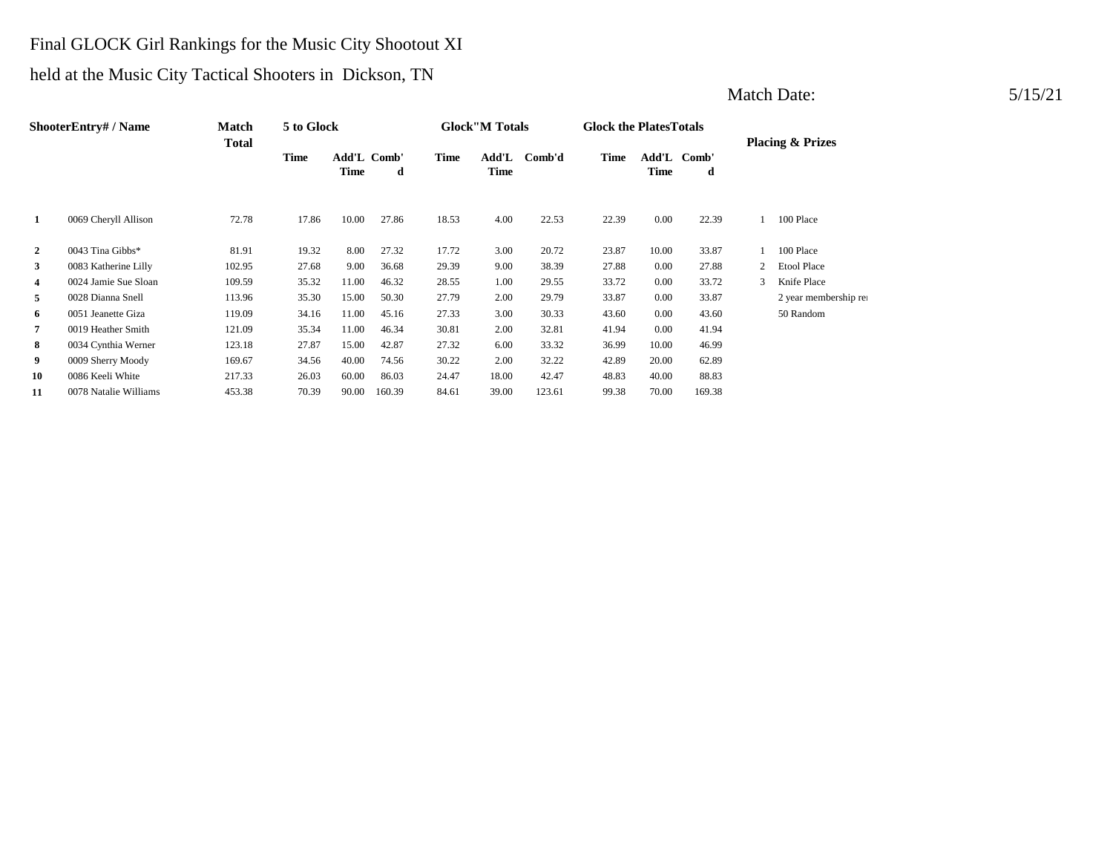## Final GLOCK Girl Rankings for the Music City Shootout XI

# held at the Music City Tactical Shooters in Dickson, TN

|                | <b>ShooterEntry#/Name</b> | Match  | 5 to Glock |                     |        |             | <b>Glock</b> "M Totals |        | <b>Glock the PlatesTotals</b> |               |            |   |                             |
|----------------|---------------------------|--------|------------|---------------------|--------|-------------|------------------------|--------|-------------------------------|---------------|------------|---|-----------------------------|
|                |                           | Total  | Time       | Add'L Comb'<br>Time | d      | <b>Time</b> | Add'L<br><b>Time</b>   | Comb'd | <b>Time</b>                   | Add'L<br>Time | Comb'<br>d |   | <b>Placing &amp; Prizes</b> |
| 1              | 0069 Cheryll Allison      | 72.78  | 17.86      | 10.00               | 27.86  | 18.53       | 4.00                   | 22.53  | 22.39                         | 0.00          | 22.39      |   | 100 Place                   |
| $\overline{2}$ | 0043 Tina Gibbs*          | 81.91  | 19.32      | 8.00                | 27.32  | 17.72       | 3.00                   | 20.72  | 23.87                         | 10.00         | 33.87      |   | 100 Place                   |
| 3              | 0083 Katherine Lilly      | 102.95 | 27.68      | 9.00                | 36.68  | 29.39       | 9.00                   | 38.39  | 27.88                         | 0.00          | 27.88      |   | <b>Etool Place</b>          |
| 4              | 0024 Jamie Sue Sloan      | 109.59 | 35.32      | 11.00               | 46.32  | 28.55       | 1.00                   | 29.55  | 33.72                         | 0.00          | 33.72      | 3 | Knife Place                 |
| 5              | 0028 Dianna Snell         | 113.96 | 35.30      | 15.00               | 50.30  | 27.79       | 2.00                   | 29.79  | 33.87                         | 0.00          | 33.87      |   | 2 year membership rea       |
| 6              | 0051 Jeanette Giza        | 119.09 | 34.16      | 11.00               | 45.16  | 27.33       | 3.00                   | 30.33  | 43.60                         | 0.00          | 43.60      |   | 50 Random                   |
| 7              | 0019 Heather Smith        | 121.09 | 35.34      | 11.00               | 46.34  | 30.81       | 2.00                   | 32.81  | 41.94                         | 0.00          | 41.94      |   |                             |
| 8              | 0034 Cynthia Werner       | 123.18 | 27.87      | 15.00               | 42.87  | 27.32       | 6.00                   | 33.32  | 36.99                         | 10.00         | 46.99      |   |                             |
| 9              | 0009 Sherry Moody         | 169.67 | 34.56      | 40.00               | 74.56  | 30.22       | 2.00                   | 32.22  | 42.89                         | 20.00         | 62.89      |   |                             |
| 10             | 0086 Keeli White          | 217.33 | 26.03      | 60.00               | 86.03  | 24.47       | 18.00                  | 42.47  | 48.83                         | 40.00         | 88.83      |   |                             |
| 11             | 0078 Natalie Williams     | 453.38 | 70.39      | 90.00               | 160.39 | 84.61       | 39.00                  | 123.61 | 99.38                         | 70.00         | 169.38     |   |                             |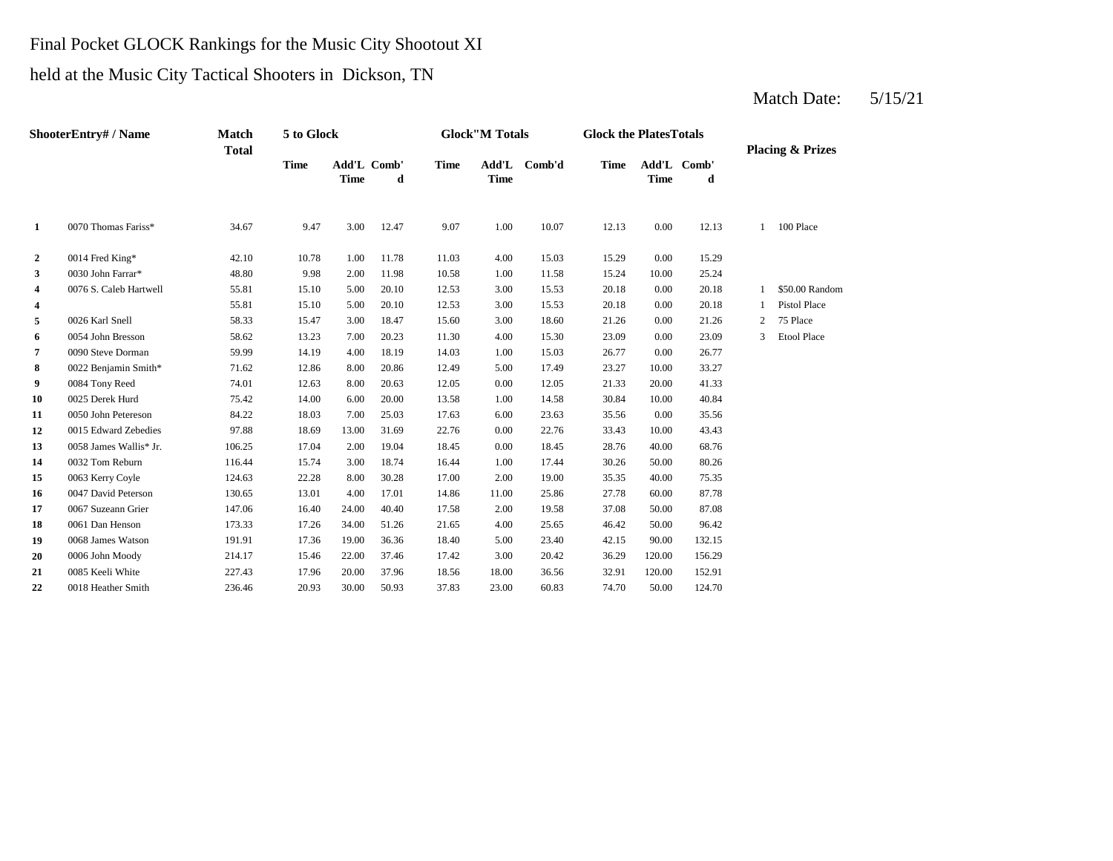## Final Pocket GLOCK Rankings for the Music City Shootout XI

# held at the Music City Tactical Shooters in Dickson, TN

|              | ShooterEntry# / Name   | <b>Match</b><br><b>Total</b> | 5 to Glock  |             |                  |             | <b>Glock</b> "M Totals |        | <b>Glock the PlatesTotals</b> |             |                  |   | <b>Placing &amp; Prizes</b> |
|--------------|------------------------|------------------------------|-------------|-------------|------------------|-------------|------------------------|--------|-------------------------------|-------------|------------------|---|-----------------------------|
|              |                        |                              | <b>Time</b> | <b>Time</b> | Add'L Comb'<br>d | <b>Time</b> | Add'L<br><b>Time</b>   | Comb'd | <b>Time</b>                   | <b>Time</b> | Add'L Comb'<br>d |   |                             |
| 1            | 0070 Thomas Fariss*    | 34.67                        | 9.47        | 3.00        | 12.47            | 9.07        | 1.00                   | 10.07  | 12.13                         | 0.00        | 12.13            | 1 | 100 Place                   |
| $\mathbf{2}$ | 0014 Fred King*        | 42.10                        | 10.78       | 1.00        | 11.78            | 11.03       | 4.00                   | 15.03  | 15.29                         | 0.00        | 15.29            |   |                             |
| 3            | 0030 John Farrar*      | 48.80                        | 9.98        | 2.00        | 11.98            | 10.58       | 1.00                   | 11.58  | 15.24                         | 10.00       | 25.24            |   |                             |
| 4            | 0076 S. Caleb Hartwell | 55.81                        | 15.10       | 5.00        | 20.10            | 12.53       | 3.00                   | 15.53  | 20.18                         | 0.00        | 20.18            |   | \$50.00 Random              |
| 4            |                        | 55.81                        | 15.10       | 5.00        | 20.10            | 12.53       | 3.00                   | 15.53  | 20.18                         | 0.00        | 20.18            |   | <b>Pistol Place</b>         |
| 5            | 0026 Karl Snell        | 58.33                        | 15.47       | 3.00        | 18.47            | 15.60       | 3.00                   | 18.60  | 21.26                         | 0.00        | 21.26            | 2 | 75 Place                    |
| 6            | 0054 John Bresson      | 58.62                        | 13.23       | 7.00        | 20.23            | 11.30       | 4.00                   | 15.30  | 23.09                         | 0.00        | 23.09            | 3 | <b>Etool Place</b>          |
| 7            | 0090 Steve Dorman      | 59.99                        | 14.19       | 4.00        | 18.19            | 14.03       | 1.00                   | 15.03  | 26.77                         | 0.00        | 26.77            |   |                             |
| 8            | 0022 Benjamin Smith*   | 71.62                        | 12.86       | 8.00        | 20.86            | 12.49       | 5.00                   | 17.49  | 23.27                         | 10.00       | 33.27            |   |                             |
| 9            | 0084 Tony Reed         | 74.01                        | 12.63       | 8.00        | 20.63            | 12.05       | 0.00                   | 12.05  | 21.33                         | 20.00       | 41.33            |   |                             |
| 10           | 0025 Derek Hurd        | 75.42                        | 14.00       | 6.00        | 20.00            | 13.58       | 1.00                   | 14.58  | 30.84                         | 10.00       | 40.84            |   |                             |
| 11           | 0050 John Petereson    | 84.22                        | 18.03       | 7.00        | 25.03            | 17.63       | 6.00                   | 23.63  | 35.56                         | 0.00        | 35.56            |   |                             |
| 12           | 0015 Edward Zebedies   | 97.88                        | 18.69       | 13.00       | 31.69            | 22.76       | 0.00                   | 22.76  | 33.43                         | 10.00       | 43.43            |   |                             |
| 13           | 0058 James Wallis* Jr. | 106.25                       | 17.04       | 2.00        | 19.04            | 18.45       | 0.00                   | 18.45  | 28.76                         | 40.00       | 68.76            |   |                             |
| 14           | 0032 Tom Reburn        | 116.44                       | 15.74       | 3.00        | 18.74            | 16.44       | 1.00                   | 17.44  | 30.26                         | 50.00       | 80.26            |   |                             |
| 15           | 0063 Kerry Coyle       | 124.63                       | 22.28       | 8.00        | 30.28            | 17.00       | 2.00                   | 19.00  | 35.35                         | 40.00       | 75.35            |   |                             |
| 16           | 0047 David Peterson    | 130.65                       | 13.01       | 4.00        | 17.01            | 14.86       | 11.00                  | 25.86  | 27.78                         | 60.00       | 87.78            |   |                             |
| 17           | 0067 Suzeann Grier     | 147.06                       | 16.40       | 24.00       | 40.40            | 17.58       | 2.00                   | 19.58  | 37.08                         | 50.00       | 87.08            |   |                             |
| 18           | 0061 Dan Henson        | 173.33                       | 17.26       | 34.00       | 51.26            | 21.65       | 4.00                   | 25.65  | 46.42                         | 50.00       | 96.42            |   |                             |
| 19           | 0068 James Watson      | 191.91                       | 17.36       | 19.00       | 36.36            | 18.40       | 5.00                   | 23.40  | 42.15                         | 90.00       | 132.15           |   |                             |
| 20           | 0006 John Moody        | 214.17                       | 15.46       | 22.00       | 37.46            | 17.42       | 3.00                   | 20.42  | 36.29                         | 120.00      | 156.29           |   |                             |
| 21           | 0085 Keeli White       | 227.43                       | 17.96       | 20.00       | 37.96            | 18.56       | 18.00                  | 36.56  | 32.91                         | 120.00      | 152.91           |   |                             |
| 22           | 0018 Heather Smith     | 236.46                       | 20.93       | 30.00       | 50.93            | 37.83       | 23.00                  | 60.83  | 74.70                         | 50.00       | 124.70           |   |                             |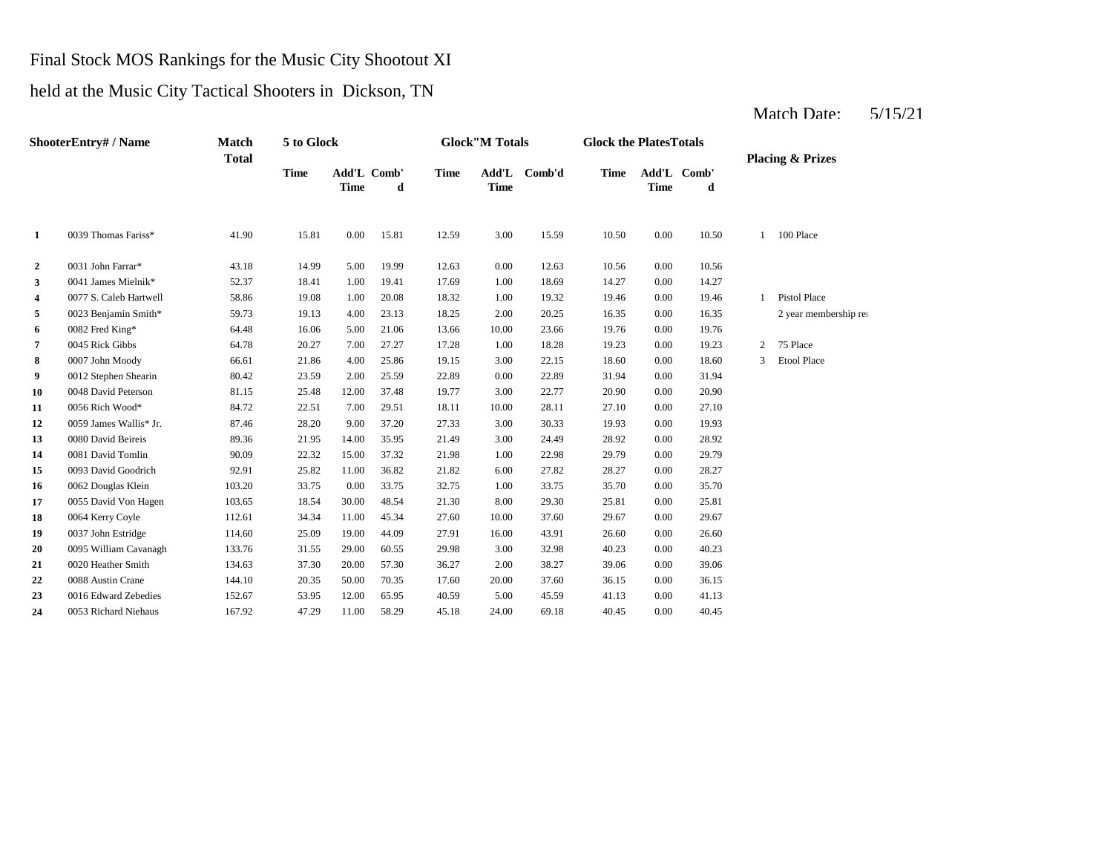# Final Stock MOS Rankings for the Music City Shootout XI

# held at the Music City Tactical Shooters in Dickson, TN

| <b>ShooterEntry#/Name</b> |                        | Match<br><b>Total</b> | 5 to Glock  |             |                  | <b>Glock</b> "M Totals |             |              | <b>Glock the PlatesTotals</b> |             |                  | <b>Placing &amp; Prizes</b> |                       |
|---------------------------|------------------------|-----------------------|-------------|-------------|------------------|------------------------|-------------|--------------|-------------------------------|-------------|------------------|-----------------------------|-----------------------|
|                           |                        |                       | <b>Time</b> | <b>Time</b> | Add'L Comb'<br>d | <b>Time</b>            | <b>Time</b> | Add'L Comb'd | <b>Time</b>                   | <b>Time</b> | Add'L Comb'<br>d |                             |                       |
| 1                         | 0039 Thomas Fariss*    | 41.90                 | 15.81       | 0.00        | 15.81            | 12.59                  | 3.00        | 15.59        | 10.50                         | 0.00        | 10.50            | $\mathbf{1}$                | 100 Place             |
| $\overline{2}$            | 0031 John Farrar*      | 43.18                 | 14.99       | 5.00        | 19.99            | 12.63                  | 0.00        | 12.63        | 10.56                         | 0.00        | 10.56            |                             |                       |
| 3                         | 0041 James Mielnik*    | 52.37                 | 18.41       | 1.00        | 19.41            | 17.69                  | 1.00        | 18.69        | 14.27                         | 0.00        | 14.27            |                             |                       |
| $\overline{\mathbf{4}}$   | 0077 S. Caleb Hartwell | 58.86                 | 19.08       | 1.00        | 20.08            | 18.32                  | 1.00        | 19.32        | 19.46                         | 0.00        | 19.46            |                             | <b>Pistol Place</b>   |
| 5                         | 0023 Benjamin Smith*   | 59.73                 | 19.13       | 4.00        | 23.13            | 18.25                  | 2.00        | 20.25        | 16.35                         | 0.00        | 16.35            |                             | 2 year membership rea |
| 6                         | 0082 Fred King*        | 64.48                 | 16.06       | 5.00        | 21.06            | 13.66                  | 10.00       | 23.66        | 19.76                         | 0.00        | 19.76            |                             |                       |
| 7                         | 0045 Rick Gibbs        | 64.78                 | 20.27       | 7.00        | 27.27            | 17.28                  | 1.00        | 18.28        | 19.23                         | 0.00        | 19.23            | 2                           | 75 Place              |
| 8                         | 0007 John Moody        | 66.61                 | 21.86       | 4.00        | 25.86            | 19.15                  | 3.00        | 22.15        | 18.60                         | 0.00        | 18.60            | 3                           | <b>Etool Place</b>    |
| 9                         | 0012 Stephen Shearin   | 80.42                 | 23.59       | 2.00        | 25.59            | 22.89                  | 0.00        | 22.89        | 31.94                         | 0.00        | 31.94            |                             |                       |
| 10                        | 0048 David Peterson    | 81.15                 | 25.48       | 12.00       | 37.48            | 19.77                  | 3.00        | 22.77        | 20.90                         | 0.00        | 20.90            |                             |                       |
| 11                        | 0056 Rich Wood*        | 84.72                 | 22.51       | 7.00        | 29.51            | 18.11                  | 10.00       | 28.11        | 27.10                         | 0.00        | 27.10            |                             |                       |
| 12                        | 0059 James Wallis* Jr. | 87.46                 | 28.20       | 9.00        | 37.20            | 27.33                  | 3.00        | 30.33        | 19.93                         | 0.00        | 19.93            |                             |                       |
| 13                        | 0080 David Beireis     | 89.36                 | 21.95       | 14.00       | 35.95            | 21.49                  | 3.00        | 24.49        | 28.92                         | 0.00        | 28.92            |                             |                       |
| 14                        | 0081 David Tomlin      | 90.09                 | 22.32       | 15.00       | 37.32            | 21.98                  | 1.00        | 22.98        | 29.79                         | 0.00        | 29.79            |                             |                       |
| 15                        | 0093 David Goodrich    | 92.91                 | 25.82       | 11.00       | 36.82            | 21.82                  | 6.00        | 27.82        | 28.27                         | 0.00        | 28.27            |                             |                       |
| 16                        | 0062 Douglas Klein     | 103.20                | 33.75       | 0.00        | 33.75            | 32.75                  | 1.00        | 33.75        | 35.70                         | 0.00        | 35.70            |                             |                       |
| 17                        | 0055 David Von Hagen   | 103.65                | 18.54       | 30.00       | 48.54            | 21.30                  | 8.00        | 29.30        | 25.81                         | 0.00        | 25.81            |                             |                       |
| 18                        | 0064 Kerry Coyle       | 112.61                | 34.34       | 11.00       | 45.34            | 27.60                  | 10.00       | 37.60        | 29.67                         | 0.00        | 29.67            |                             |                       |
| 19                        | 0037 John Estridge     | 114.60                | 25.09       | 19.00       | 44.09            | 27.91                  | 16.00       | 43.91        | 26.60                         | 0.00        | 26.60            |                             |                       |
| 20                        | 0095 William Cavanagh  | 133.76                | 31.55       | 29.00       | 60.55            | 29.98                  | 3.00        | 32.98        | 40.23                         | 0.00        | 40.23            |                             |                       |
| 21                        | 0020 Heather Smith     | 134.63                | 37.30       | 20.00       | 57.30            | 36.27                  | 2.00        | 38.27        | 39.06                         | 0.00        | 39.06            |                             |                       |
| 22                        | 0088 Austin Crane      | 144.10                | 20.35       | 50.00       | 70.35            | 17.60                  | 20.00       | 37.60        | 36.15                         | 0.00        | 36.15            |                             |                       |
| 23                        | 0016 Edward Zebedies   | 152.67                | 53.95       | 12.00       | 65.95            | 40.59                  | 5.00        | 45.59        | 41.13                         | 0.00        | 41.13            |                             |                       |
| 24                        | 0053 Richard Niehaus   | 167.92                | 47.29       | 11.00       | 58.29            | 45.18                  | 24.00       | 69.18        | 40.45                         | 0.00        | 40.45            |                             |                       |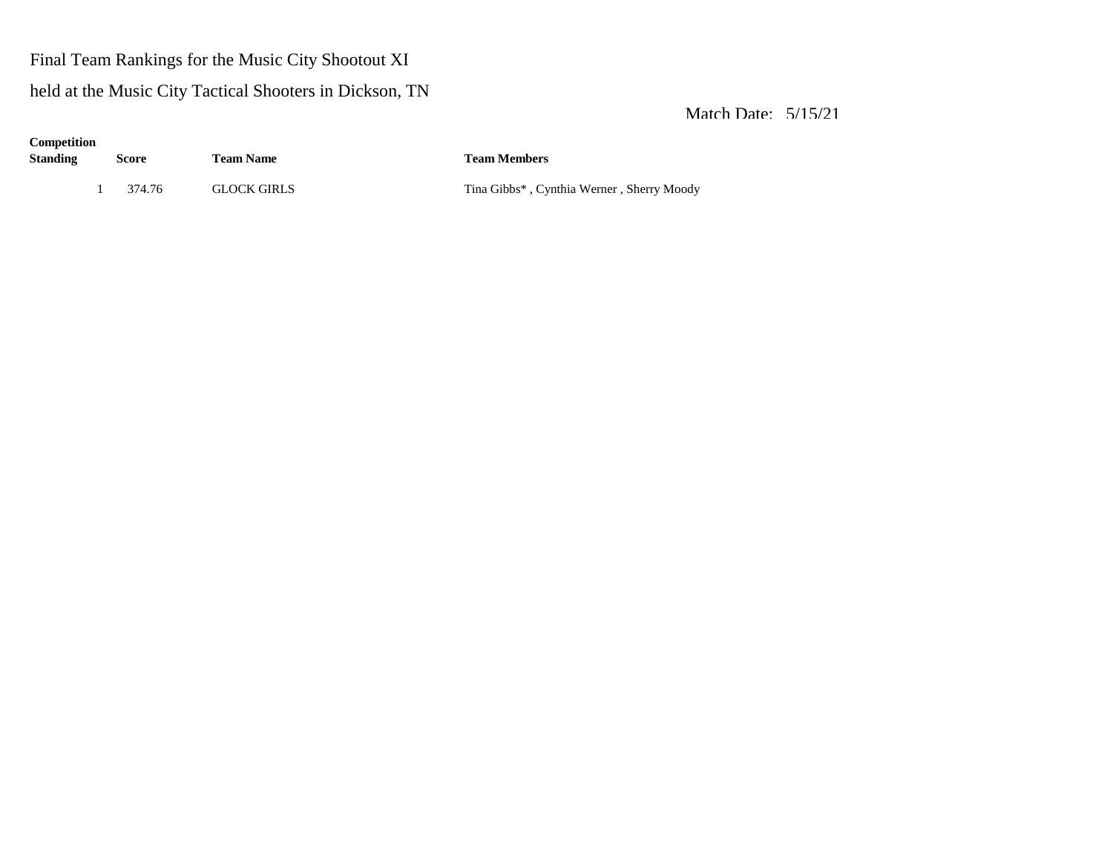# Final Team Rankings for the Music City Shootout XI

# held at the Music City Tactical Shooters in Dickson, TN

| Competition<br>Standing | <b>Score</b> | <b>Team Name</b>   | <b>Team Members</b>                       |  |  |  |  |
|-------------------------|--------------|--------------------|-------------------------------------------|--|--|--|--|
|                         | 374.76       | <b>GLOCK GIRLS</b> | Tina Gibbs*, Cynthia Werner, Sherry Moody |  |  |  |  |